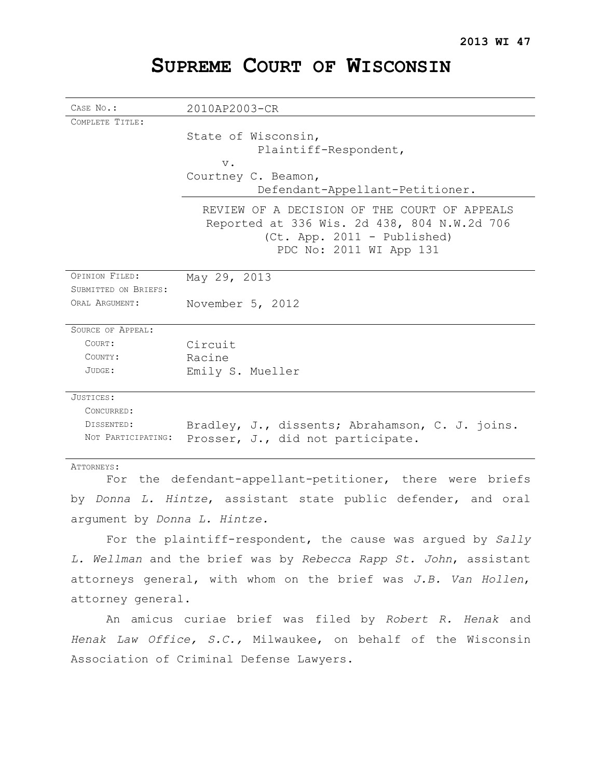# **SUPREME COURT OF WISCONSIN**

| CASE No.:                | 2010AP2003-CR                                         |
|--------------------------|-------------------------------------------------------|
| COMPLETE TITLE:          |                                                       |
|                          | State of Wisconsin,                                   |
|                          | Plaintiff-Respondent,                                 |
|                          | $V$ .                                                 |
|                          | Courtney C. Beamon,                                   |
|                          | Defendant-Appellant-Petitioner.                       |
|                          | REVIEW OF A DECISION OF THE COURT OF APPEALS          |
|                          | Reported at 336 Wis. 2d 438, 804 N.W.2d 706           |
|                          | (Ct. App. 2011 - Published)                           |
|                          | PDC No: 2011 WI App 131                               |
|                          |                                                       |
| OPINION FILED:           | May 29, 2013                                          |
| SUBMITTED ON BRIEFS:     |                                                       |
| ORAL ARGUMENT:           | November 5, 2012                                      |
|                          |                                                       |
| <b>SOURCE OF APPEAL:</b> |                                                       |
| COURT:                   | Circuit                                               |
| COUNTY:                  | Racine                                                |
| JUDGE:                   | Emily S. Mueller                                      |
| JUSTICES:                |                                                       |
| CONCURRED:               |                                                       |
| DISSENTED:               | Bradley, J., dissents; Abrahamson, C. J. joins.       |
| NOT PARTICIPATING:       | Prosser, J., did not participate.                     |
|                          |                                                       |
| ATTORNEYS:               |                                                       |
| For                      | the defendant-appellant-petitioner, there were briefs |

by *Donna L. Hintze*, assistant state public defender, and oral argument by *Donna L. Hintze.* 

For the plaintiff-respondent, the cause was argued by *Sally L. Wellman* and the brief was by *Rebecca Rapp St. John*, assistant attorneys general, with whom on the brief was *J.B. Van Hollen*, attorney general.

An amicus curiae brief was filed by *Robert R. Henak* and *Henak Law Office, S.C.,* Milwaukee, on behalf of the Wisconsin Association of Criminal Defense Lawyers.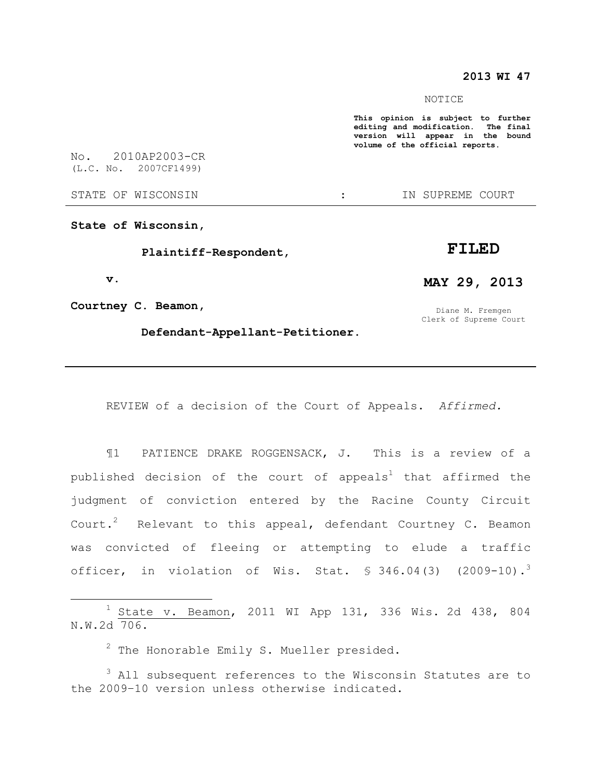## **2013 WI 47**

#### NOTICE

**This opinion is subject to further editing and modification. The final version will appear in the bound volume of the official reports.** 

No. 2010AP2003-CR (L.C. No. 2007CF1499)

STATE OF WISCONSIN  $\qquad \qquad :$  IN SUPREME COURT

**State of Wisconsin,**

 **Plaintiff-Respondent,** 

 **v.** 

 $\overline{a}$ 

**Courtney C. Beamon,** 

Diane M. Fremgen

 **Defendant-Appellant-Petitioner.**  Clerk of Supreme Court

REVIEW of a decision of the Court of Appeals. *Affirmed.*

¶1 PATIENCE DRAKE ROGGENSACK, J. This is a review of a published decision of the court of appeals<sup>1</sup> that affirmed the judgment of conviction entered by the Racine County Circuit Court.<sup>2</sup> Relevant to this appeal, defendant Courtney C. Beamon was convicted of fleeing or attempting to elude a traffic officer, in violation of Wis. Stat.  $$346.04(3)$  (2009-10).<sup>3</sup>

 $1$  State v. Beamon, 2011 WI App 131, 336 Wis. 2d 438, 804 N.W.2d 706.

 $2$  The Honorable Emily S. Mueller presided.

 $3$  All subsequent references to the Wisconsin Statutes are to the 2009–10 version unless otherwise indicated.

# **FILED**

# **MAY 29, 2013**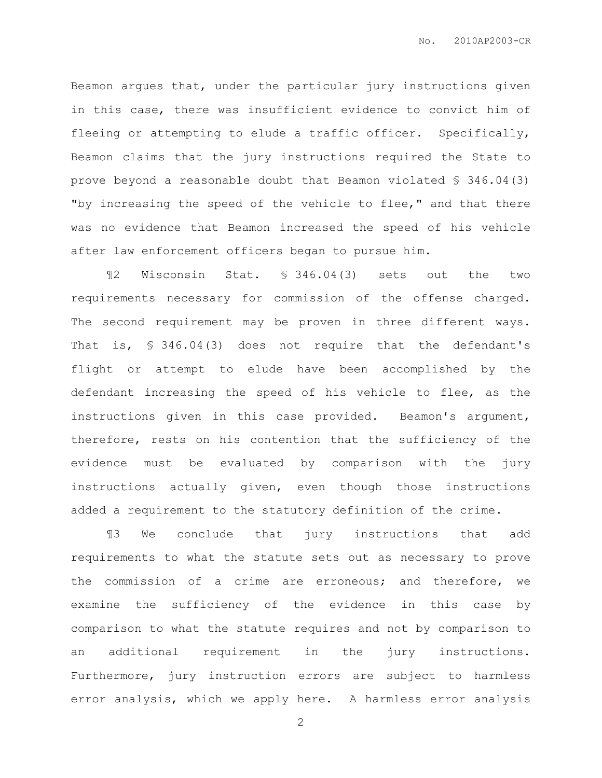Beamon argues that, under the particular jury instructions given in this case, there was insufficient evidence to convict him of fleeing or attempting to elude a traffic officer. Specifically, Beamon claims that the jury instructions required the State to prove beyond a reasonable doubt that Beamon violated § 346.04(3) "by increasing the speed of the vehicle to flee," and that there was no evidence that Beamon increased the speed of his vehicle after law enforcement officers began to pursue him.

¶2 Wisconsin Stat. § 346.04(3) sets out the two requirements necessary for commission of the offense charged. The second requirement may be proven in three different ways. That is, § 346.04(3) does not require that the defendant's flight or attempt to elude have been accomplished by the defendant increasing the speed of his vehicle to flee, as the instructions given in this case provided. Beamon's argument, therefore, rests on his contention that the sufficiency of the evidence must be evaluated by comparison with the jury instructions actually given, even though those instructions added a requirement to the statutory definition of the crime.

¶3 We conclude that jury instructions that add requirements to what the statute sets out as necessary to prove the commission of a crime are erroneous; and therefore, we examine the sufficiency of the evidence in this case by comparison to what the statute requires and not by comparison to an additional requirement in the jury instructions. Furthermore, jury instruction errors are subject to harmless error analysis, which we apply here. A harmless error analysis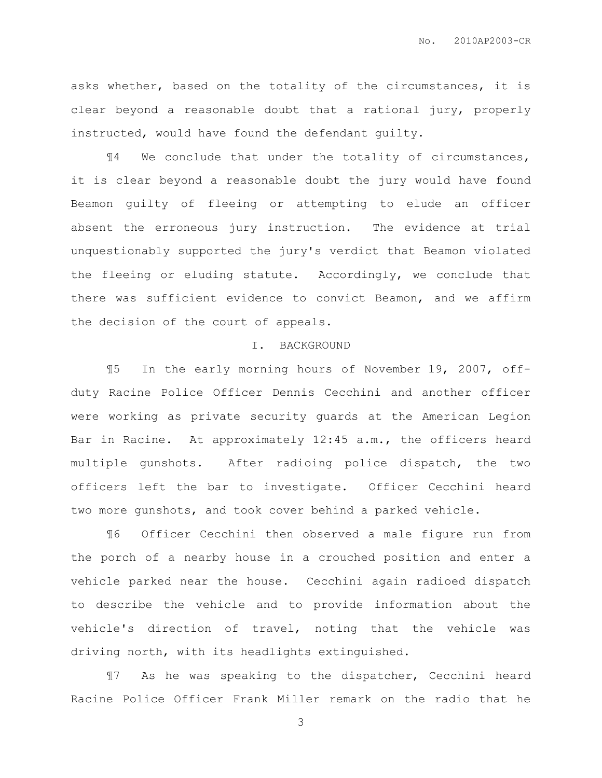asks whether, based on the totality of the circumstances, it is clear beyond a reasonable doubt that a rational jury, properly instructed, would have found the defendant guilty.

¶4 We conclude that under the totality of circumstances, it is clear beyond a reasonable doubt the jury would have found Beamon guilty of fleeing or attempting to elude an officer absent the erroneous jury instruction. The evidence at trial unquestionably supported the jury's verdict that Beamon violated the fleeing or eluding statute. Accordingly, we conclude that there was sufficient evidence to convict Beamon, and we affirm the decision of the court of appeals.

#### I. BACKGROUND

¶5 In the early morning hours of November 19, 2007, offduty Racine Police Officer Dennis Cecchini and another officer were working as private security guards at the American Legion Bar in Racine. At approximately 12:45 a.m., the officers heard multiple gunshots. After radioing police dispatch, the two officers left the bar to investigate. Officer Cecchini heard two more gunshots, and took cover behind a parked vehicle.

¶6 Officer Cecchini then observed a male figure run from the porch of a nearby house in a crouched position and enter a vehicle parked near the house. Cecchini again radioed dispatch to describe the vehicle and to provide information about the vehicle's direction of travel, noting that the vehicle was driving north, with its headlights extinguished.

¶7 As he was speaking to the dispatcher, Cecchini heard Racine Police Officer Frank Miller remark on the radio that he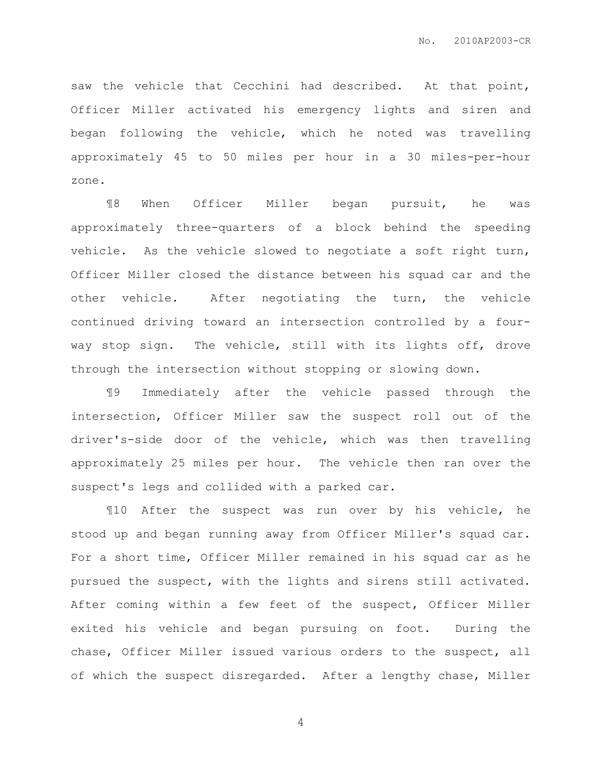saw the vehicle that Cecchini had described. At that point, Officer Miller activated his emergency lights and siren and began following the vehicle, which he noted was travelling approximately 45 to 50 miles per hour in a 30 miles-per-hour zone.

¶8 When Officer Miller began pursuit, he was approximately three-quarters of a block behind the speeding vehicle. As the vehicle slowed to negotiate a soft right turn, Officer Miller closed the distance between his squad car and the other vehicle. After negotiating the turn, the vehicle continued driving toward an intersection controlled by a fourway stop sign. The vehicle, still with its lights off, drove through the intersection without stopping or slowing down.

¶9 Immediately after the vehicle passed through the intersection, Officer Miller saw the suspect roll out of the driver's-side door of the vehicle, which was then travelling approximately 25 miles per hour. The vehicle then ran over the suspect's legs and collided with a parked car.

¶10 After the suspect was run over by his vehicle, he stood up and began running away from Officer Miller's squad car. For a short time, Officer Miller remained in his squad car as he pursued the suspect, with the lights and sirens still activated. After coming within a few feet of the suspect, Officer Miller exited his vehicle and began pursuing on foot. During the chase, Officer Miller issued various orders to the suspect, all of which the suspect disregarded. After a lengthy chase, Miller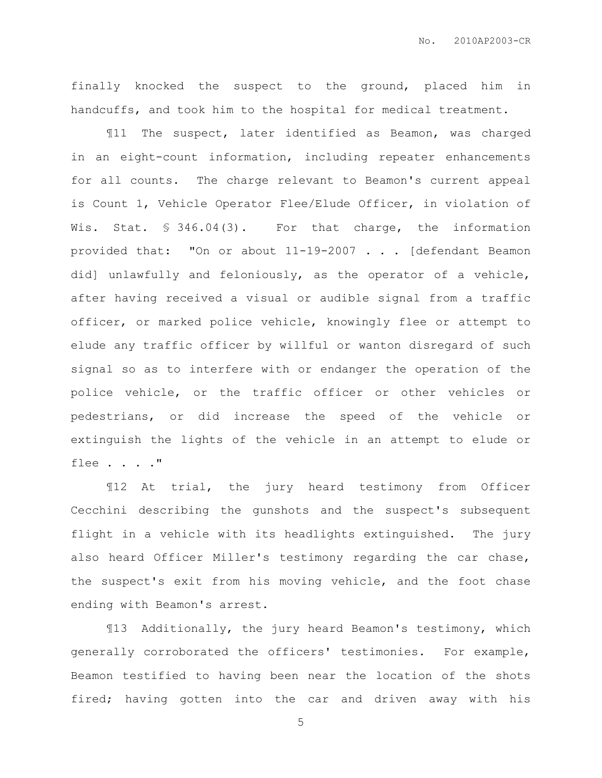finally knocked the suspect to the ground, placed him in handcuffs, and took him to the hospital for medical treatment.

¶11 The suspect, later identified as Beamon, was charged in an eight-count information, including repeater enhancements for all counts. The charge relevant to Beamon's current appeal is Count 1, Vehicle Operator Flee/Elude Officer, in violation of Wis. Stat. § 346.04(3). For that charge, the information provided that: "On or about 11-19-2007 . . . [defendant Beamon did] unlawfully and feloniously, as the operator of a vehicle, after having received a visual or audible signal from a traffic officer, or marked police vehicle, knowingly flee or attempt to elude any traffic officer by willful or wanton disregard of such signal so as to interfere with or endanger the operation of the police vehicle, or the traffic officer or other vehicles or pedestrians, or did increase the speed of the vehicle or extinguish the lights of the vehicle in an attempt to elude or flee . . . ."

¶12 At trial, the jury heard testimony from Officer Cecchini describing the gunshots and the suspect's subsequent flight in a vehicle with its headlights extinguished. The jury also heard Officer Miller's testimony regarding the car chase, the suspect's exit from his moving vehicle, and the foot chase ending with Beamon's arrest.

¶13 Additionally, the jury heard Beamon's testimony, which generally corroborated the officers' testimonies. For example, Beamon testified to having been near the location of the shots fired; having gotten into the car and driven away with his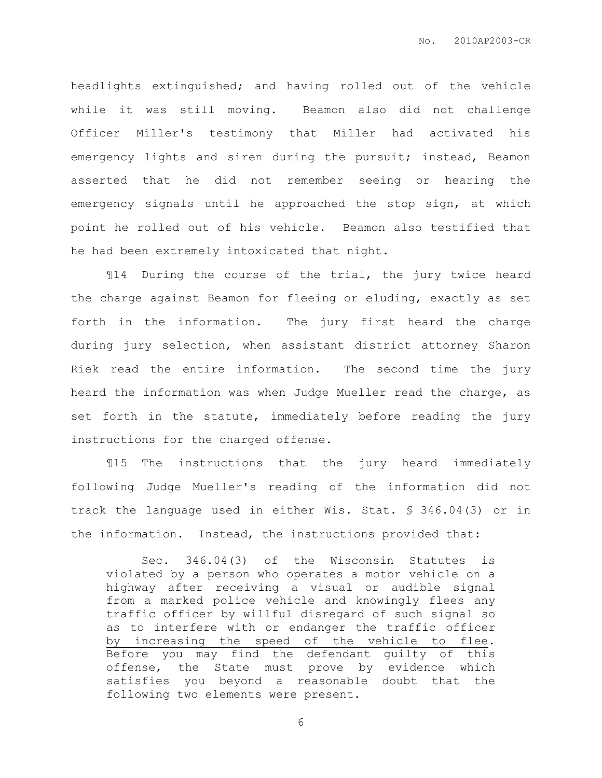headlights extinguished; and having rolled out of the vehicle while it was still moving. Beamon also did not challenge Officer Miller's testimony that Miller had activated his emergency lights and siren during the pursuit; instead, Beamon asserted that he did not remember seeing or hearing the emergency signals until he approached the stop sign, at which point he rolled out of his vehicle. Beamon also testified that he had been extremely intoxicated that night.

¶14 During the course of the trial, the jury twice heard the charge against Beamon for fleeing or eluding, exactly as set forth in the information. The jury first heard the charge during jury selection, when assistant district attorney Sharon Riek read the entire information. The second time the jury heard the information was when Judge Mueller read the charge, as set forth in the statute, immediately before reading the jury instructions for the charged offense.

¶15 The instructions that the jury heard immediately following Judge Mueller's reading of the information did not track the language used in either Wis. Stat. § 346.04(3) or in the information. Instead, the instructions provided that:

 Sec. 346.04(3) of the Wisconsin Statutes is violated by a person who operates a motor vehicle on a highway after receiving a visual or audible signal from a marked police vehicle and knowingly flees any traffic officer by willful disregard of such signal so as to interfere with or endanger the traffic officer by increasing the speed of the vehicle to flee. Before you may find the defendant guilty of this offense, the State must prove by evidence which satisfies you beyond a reasonable doubt that the following two elements were present.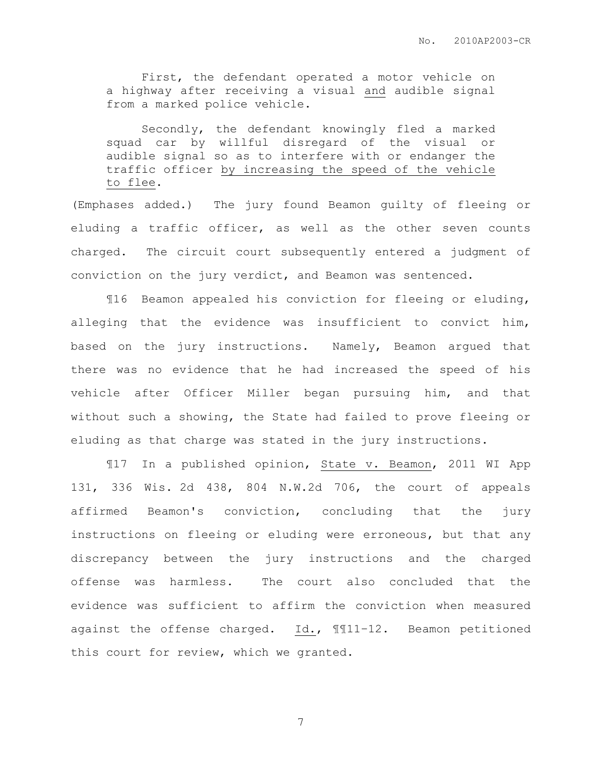First, the defendant operated a motor vehicle on a highway after receiving a visual and audible signal from a marked police vehicle.

 Secondly, the defendant knowingly fled a marked squad car by willful disregard of the visual or audible signal so as to interfere with or endanger the traffic officer by increasing the speed of the vehicle to flee.

(Emphases added.) The jury found Beamon guilty of fleeing or eluding a traffic officer, as well as the other seven counts charged. The circuit court subsequently entered a judgment of conviction on the jury verdict, and Beamon was sentenced.

¶16 Beamon appealed his conviction for fleeing or eluding, alleging that the evidence was insufficient to convict him, based on the jury instructions. Namely, Beamon argued that there was no evidence that he had increased the speed of his vehicle after Officer Miller began pursuing him, and that without such a showing, the State had failed to prove fleeing or eluding as that charge was stated in the jury instructions.

¶17 In a published opinion, State v. Beamon, 2011 WI App 131, 336 Wis. 2d 438, 804 N.W.2d 706, the court of appeals affirmed Beamon's conviction, concluding that the jury instructions on fleeing or eluding were erroneous, but that any discrepancy between the jury instructions and the charged offense was harmless. The court also concluded that the evidence was sufficient to affirm the conviction when measured against the offense charged. Id., ¶¶11–12. Beamon petitioned this court for review, which we granted.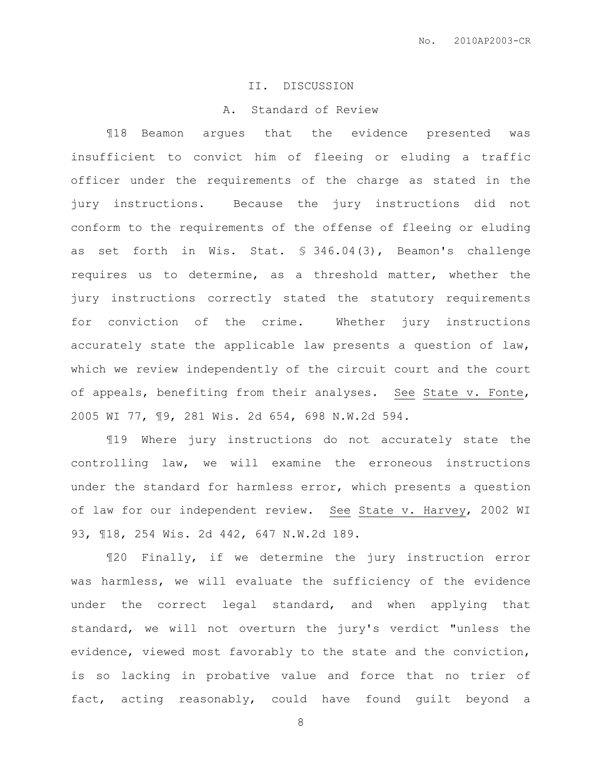#### II. DISCUSSION

# A. Standard of Review

¶18 Beamon argues that the evidence presented was insufficient to convict him of fleeing or eluding a traffic officer under the requirements of the charge as stated in the jury instructions. Because the jury instructions did not conform to the requirements of the offense of fleeing or eluding as set forth in Wis. Stat. § 346.04(3), Beamon's challenge requires us to determine, as a threshold matter, whether the jury instructions correctly stated the statutory requirements for conviction of the crime. Whether jury instructions accurately state the applicable law presents a question of law, which we review independently of the circuit court and the court of appeals, benefiting from their analyses. See State v. Fonte, 2005 WI 77, ¶9, 281 Wis. 2d 654, 698 N.W.2d 594.

¶19 Where jury instructions do not accurately state the controlling law, we will examine the erroneous instructions under the standard for harmless error, which presents a question of law for our independent review. See State v. Harvey, 2002 WI 93, ¶18, 254 Wis. 2d 442, 647 N.W.2d 189.

¶20 Finally, if we determine the jury instruction error was harmless, we will evaluate the sufficiency of the evidence under the correct legal standard, and when applying that standard, we will not overturn the jury's verdict "unless the evidence, viewed most favorably to the state and the conviction, is so lacking in probative value and force that no trier of fact, acting reasonably, could have found guilt beyond a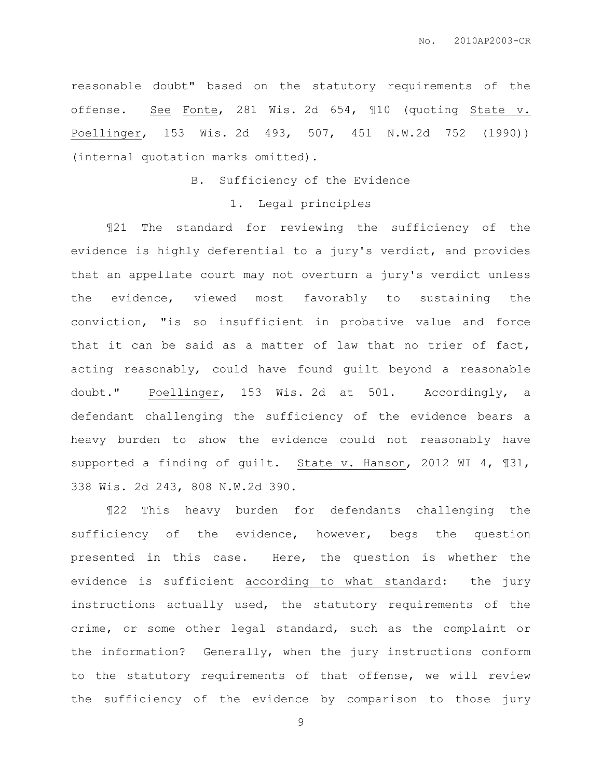reasonable doubt" based on the statutory requirements of the offense. See Fonte, 281 Wis. 2d 654, ¶10 (quoting State v. Poellinger, 153 Wis. 2d 493, 507, 451 N.W.2d 752 (1990)) (internal quotation marks omitted).

## B. Sufficiency of the Evidence

#### 1. Legal principles

¶21 The standard for reviewing the sufficiency of the evidence is highly deferential to a jury's verdict, and provides that an appellate court may not overturn a jury's verdict unless the evidence, viewed most favorably to sustaining the conviction, "is so insufficient in probative value and force that it can be said as a matter of law that no trier of fact, acting reasonably, could have found guilt beyond a reasonable doubt." Poellinger, 153 Wis. 2d at 501. Accordingly, a defendant challenging the sufficiency of the evidence bears a heavy burden to show the evidence could not reasonably have supported a finding of guilt. State v. Hanson, 2012 WI 4, ¶31, 338 Wis. 2d 243, 808 N.W.2d 390.

¶22 This heavy burden for defendants challenging the sufficiency of the evidence, however, begs the question presented in this case. Here, the question is whether the evidence is sufficient according to what standard: the jury instructions actually used, the statutory requirements of the crime, or some other legal standard, such as the complaint or the information? Generally, when the jury instructions conform to the statutory requirements of that offense, we will review the sufficiency of the evidence by comparison to those jury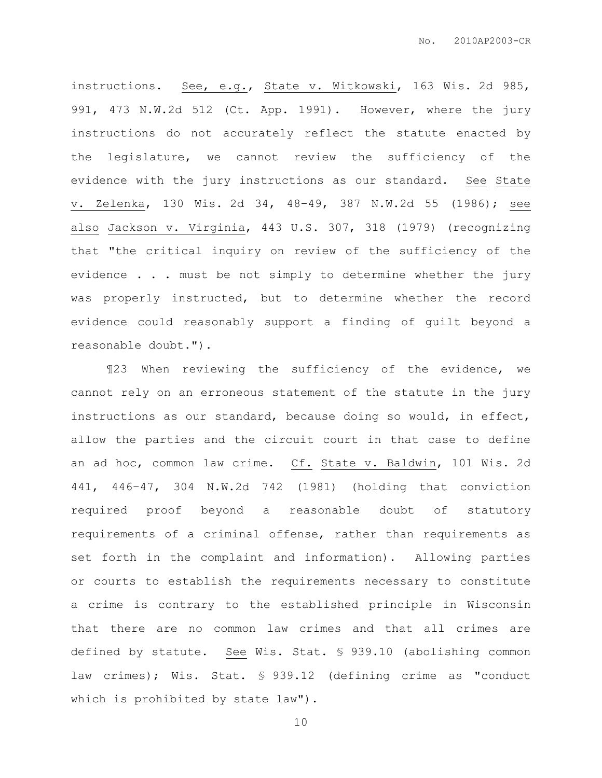instructions. See, e.g., State v. Witkowski, 163 Wis. 2d 985, 991, 473 N.W.2d 512 (Ct. App. 1991). However, where the jury instructions do not accurately reflect the statute enacted by the legislature, we cannot review the sufficiency of the evidence with the jury instructions as our standard. See State v. Zelenka, 130 Wis. 2d 34, 48–49, 387 N.W.2d 55 (1986); see also Jackson v. Virginia, 443 U.S. 307, 318 (1979) (recognizing that "the critical inquiry on review of the sufficiency of the evidence . . . must be not simply to determine whether the jury was properly instructed, but to determine whether the record evidence could reasonably support a finding of guilt beyond a reasonable doubt.").

¶23 When reviewing the sufficiency of the evidence, we cannot rely on an erroneous statement of the statute in the jury instructions as our standard, because doing so would, in effect, allow the parties and the circuit court in that case to define an ad hoc, common law crime. Cf. State v. Baldwin, 101 Wis. 2d 441, 446–47, 304 N.W.2d 742 (1981) (holding that conviction required proof beyond a reasonable doubt of statutory requirements of a criminal offense, rather than requirements as set forth in the complaint and information). Allowing parties or courts to establish the requirements necessary to constitute a crime is contrary to the established principle in Wisconsin that there are no common law crimes and that all crimes are defined by statute. See Wis. Stat. § 939.10 (abolishing common law crimes); Wis. Stat. § 939.12 (defining crime as "conduct which is prohibited by state law").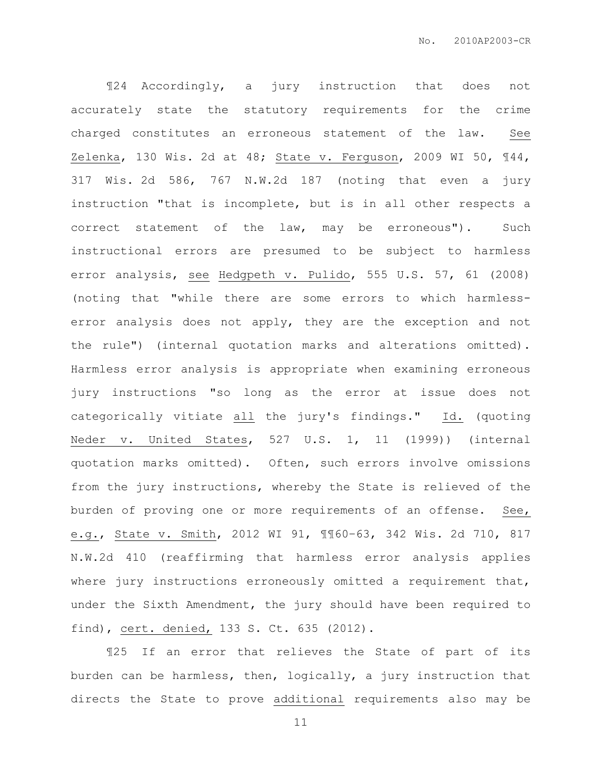¶24 Accordingly, a jury instruction that does not accurately state the statutory requirements for the crime charged constitutes an erroneous statement of the law. See Zelenka, 130 Wis. 2d at 48; State v. Ferguson, 2009 WI 50, ¶44, 317 Wis. 2d 586, 767 N.W.2d 187 (noting that even a jury instruction "that is incomplete, but is in all other respects a correct statement of the law, may be erroneous"). Such instructional errors are presumed to be subject to harmless error analysis, see Hedgpeth v. Pulido, 555 U.S. 57, 61 (2008) (noting that "while there are some errors to which harmlesserror analysis does not apply, they are the exception and not the rule") (internal quotation marks and alterations omitted). Harmless error analysis is appropriate when examining erroneous jury instructions "so long as the error at issue does not categorically vitiate all the jury's findings." Id. (quoting Neder v. United States, 527 U.S. 1, 11 (1999)) (internal quotation marks omitted). Often, such errors involve omissions from the jury instructions, whereby the State is relieved of the burden of proving one or more requirements of an offense. See, e.g., State v. Smith, 2012 WI 91, ¶¶60–63, 342 Wis. 2d 710, 817 N.W.2d 410 (reaffirming that harmless error analysis applies where jury instructions erroneously omitted a requirement that, under the Sixth Amendment, the jury should have been required to find), cert. denied, 133 S. Ct. 635 (2012).

¶25 If an error that relieves the State of part of its burden can be harmless, then, logically, a jury instruction that directs the State to prove additional requirements also may be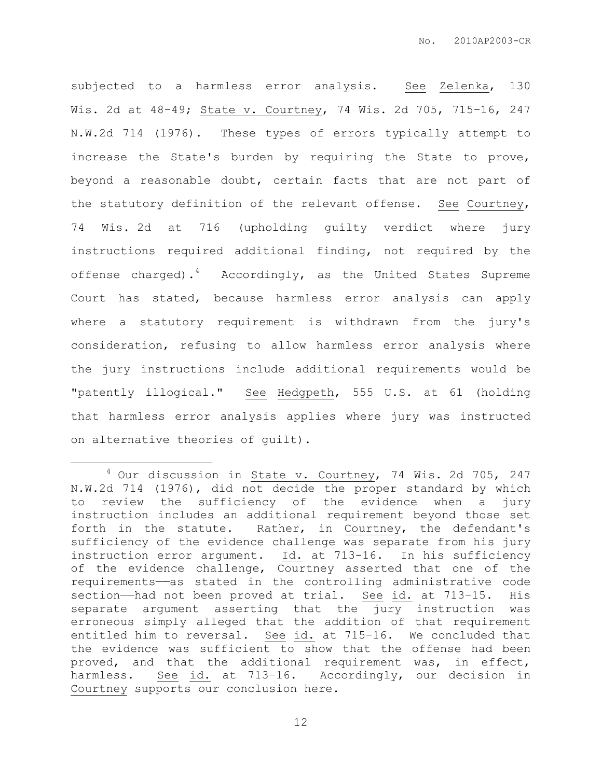subjected to a harmless error analysis. See Zelenka, 130 Wis. 2d at 48–49; State v. Courtney, 74 Wis. 2d 705, 715–16, 247 N.W.2d 714 (1976). These types of errors typically attempt to increase the State's burden by requiring the State to prove, beyond a reasonable doubt, certain facts that are not part of the statutory definition of the relevant offense. See Courtney, 74 Wis. 2d at 716 (upholding guilty verdict where jury instructions required additional finding, not required by the offense charged).<sup>4</sup> Accordingly, as the United States Supreme Court has stated, because harmless error analysis can apply where a statutory requirement is withdrawn from the jury's consideration, refusing to allow harmless error analysis where the jury instructions include additional requirements would be "patently illogical." See Hedgpeth, 555 U.S. at 61 (holding that harmless error analysis applies where jury was instructed on alternative theories of guilt).

 $\overline{a}$ 

 $4$  Our discussion in State v. Courtney, 74 Wis. 2d 705, 247 N.W.2d 714 (1976), did not decide the proper standard by which to review the sufficiency of the evidence when a jury instruction includes an additional requirement beyond those set forth in the statute. Rather, in Courtney, the defendant's sufficiency of the evidence challenge was separate from his jury instruction error argument. Id. at 713-16. In his sufficiency of the evidence challenge, Courtney asserted that one of the requirements——as stated in the controlling administrative code section—had not been proved at trial. See id. at 713-15. His separate argument asserting that the jury instruction was erroneous simply alleged that the addition of that requirement entitled him to reversal. See id. at 715–16. We concluded that the evidence was sufficient to show that the offense had been proved, and that the additional requirement was, in effect, harmless. See id. at 713–16. Accordingly, our decision in Courtney supports our conclusion here.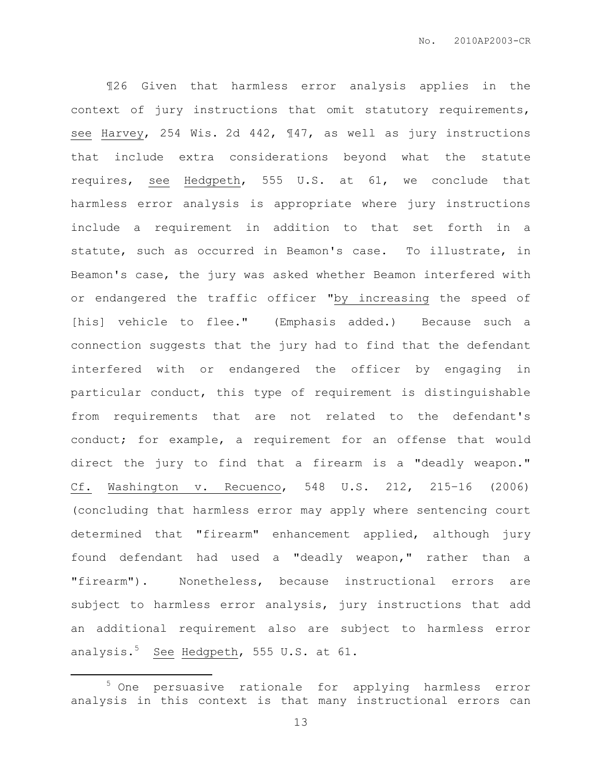¶26 Given that harmless error analysis applies in the context of jury instructions that omit statutory requirements, see Harvey, 254 Wis. 2d 442, ¶47, as well as jury instructions that include extra considerations beyond what the statute requires, see Hedgpeth, 555 U.S. at 61, we conclude that harmless error analysis is appropriate where jury instructions include a requirement in addition to that set forth in a statute, such as occurred in Beamon's case. To illustrate, in Beamon's case, the jury was asked whether Beamon interfered with or endangered the traffic officer "by increasing the speed of [his] vehicle to flee." (Emphasis added.) Because such a connection suggests that the jury had to find that the defendant interfered with or endangered the officer by engaging in particular conduct, this type of requirement is distinguishable from requirements that are not related to the defendant's conduct; for example, a requirement for an offense that would direct the jury to find that a firearm is a "deadly weapon." Cf. Washington v. Recuenco, 548 U.S. 212, 215–16 (2006) (concluding that harmless error may apply where sentencing court determined that "firearm" enhancement applied, although jury found defendant had used a "deadly weapon," rather than a "firearm"). Nonetheless, because instructional errors are subject to harmless error analysis, jury instructions that add an additional requirement also are subject to harmless error analysis. $5$  See Hedgpeth, 555 U.S. at 61.

 $\overline{a}$ 

<sup>&</sup>lt;sup>5</sup> One persuasive rationale for applying harmless error analysis in this context is that many instructional errors can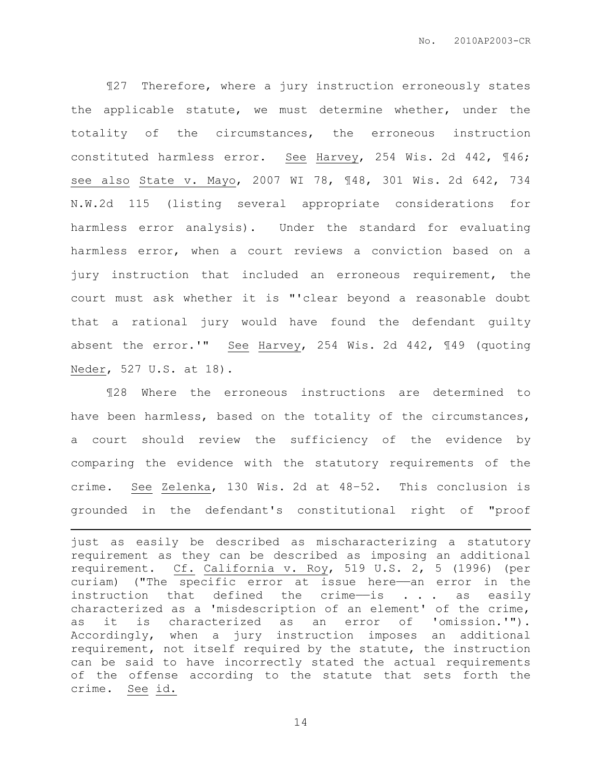¶27 Therefore, where a jury instruction erroneously states the applicable statute, we must determine whether, under the totality of the circumstances, the erroneous instruction constituted harmless error. See Harvey, 254 Wis. 2d 442, ¶46; see also State v. Mayo, 2007 WI 78, ¶48, 301 Wis. 2d 642, 734 N.W.2d 115 (listing several appropriate considerations for harmless error analysis). Under the standard for evaluating harmless error, when a court reviews a conviction based on a jury instruction that included an erroneous requirement, the court must ask whether it is "'clear beyond a reasonable doubt that a rational jury would have found the defendant guilty absent the error.'" See Harvey, 254 Wis. 2d 442, ¶49 (quoting Neder, 527 U.S. at 18).

¶28 Where the erroneous instructions are determined to have been harmless, based on the totality of the circumstances, a court should review the sufficiency of the evidence by comparing the evidence with the statutory requirements of the crime. See Zelenka, 130 Wis. 2d at 48–52. This conclusion is grounded in the defendant's constitutional right of "proof

 $\overline{a}$ 

just as easily be described as mischaracterizing a statutory requirement as they can be described as imposing an additional requirement. Cf. California v. Roy, 519 U.S. 2, 5 (1996) (per curiam) ("The specific error at issue here——an error in the instruction that defined the crime-is . . . as easily characterized as a 'misdescription of an element' of the crime, as it is characterized as an error of 'omission.'"). Accordingly, when a jury instruction imposes an additional requirement, not itself required by the statute, the instruction can be said to have incorrectly stated the actual requirements of the offense according to the statute that sets forth the crime. See id.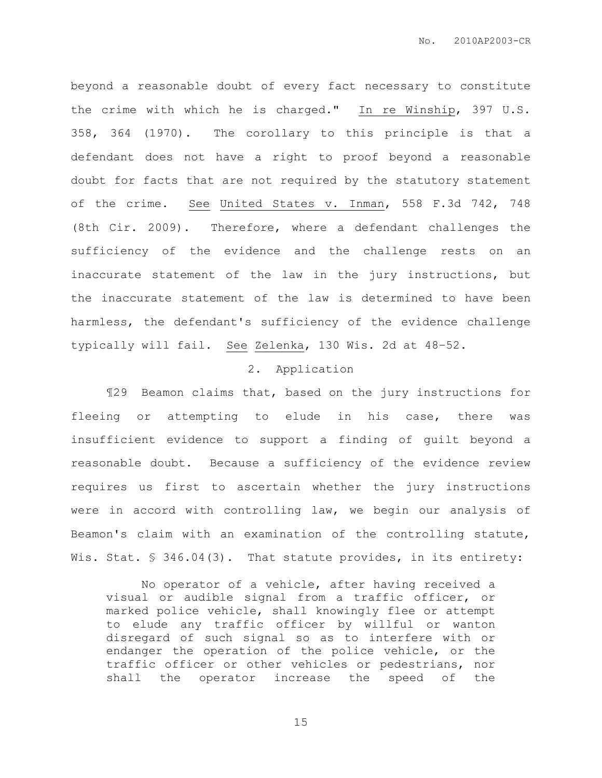beyond a reasonable doubt of every fact necessary to constitute the crime with which he is charged." In re Winship, 397 U.S. 358, 364 (1970). The corollary to this principle is that a defendant does not have a right to proof beyond a reasonable doubt for facts that are not required by the statutory statement of the crime. See United States v. Inman, 558 F.3d 742, 748 (8th Cir. 2009). Therefore, where a defendant challenges the sufficiency of the evidence and the challenge rests on an inaccurate statement of the law in the jury instructions, but the inaccurate statement of the law is determined to have been harmless, the defendant's sufficiency of the evidence challenge typically will fail. See Zelenka, 130 Wis. 2d at 48–52.

# 2. Application

¶29 Beamon claims that, based on the jury instructions for fleeing or attempting to elude in his case, there was insufficient evidence to support a finding of guilt beyond a reasonable doubt. Because a sufficiency of the evidence review requires us first to ascertain whether the jury instructions were in accord with controlling law, we begin our analysis of Beamon's claim with an examination of the controlling statute, Wis. Stat. § 346.04(3). That statute provides, in its entirety:

 No operator of a vehicle, after having received a visual or audible signal from a traffic officer, or marked police vehicle, shall knowingly flee or attempt to elude any traffic officer by willful or wanton disregard of such signal so as to interfere with or endanger the operation of the police vehicle, or the traffic officer or other vehicles or pedestrians, nor shall the operator increase the speed of the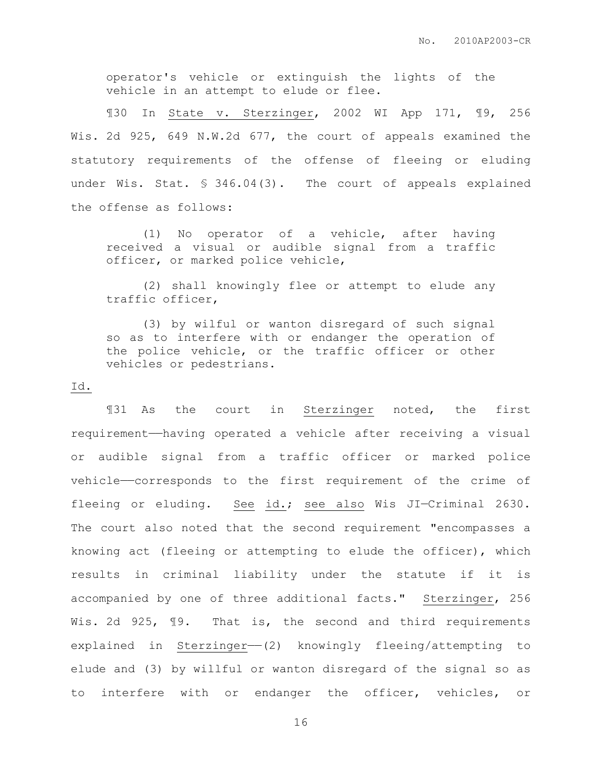operator's vehicle or extinguish the lights of the vehicle in an attempt to elude or flee.

¶30 In State v. Sterzinger, 2002 WI App 171, ¶9, 256 Wis. 2d 925, 649 N.W.2d 677, the court of appeals examined the statutory requirements of the offense of fleeing or eluding under Wis. Stat. § 346.04(3). The court of appeals explained the offense as follows:

 (1) No operator of a vehicle, after having received a visual or audible signal from a traffic officer, or marked police vehicle,

 (2) shall knowingly flee or attempt to elude any traffic officer,

 (3) by wilful or wanton disregard of such signal so as to interfere with or endanger the operation of the police vehicle, or the traffic officer or other vehicles or pedestrians.

#### Id.

¶31 As the court in Sterzinger noted, the first requirement——having operated a vehicle after receiving a visual or audible signal from a traffic officer or marked police vehicle——corresponds to the first requirement of the crime of fleeing or eluding. See id.; see also Wis JI-Criminal 2630. The court also noted that the second requirement "encompasses a knowing act (fleeing or attempting to elude the officer), which results in criminal liability under the statute if it is accompanied by one of three additional facts." Sterzinger, 256 Wis. 2d 925, 19. That is, the second and third requirements explained in Sterzinger- $(2)$  knowingly fleeing/attempting to elude and (3) by willful or wanton disregard of the signal so as to interfere with or endanger the officer, vehicles, or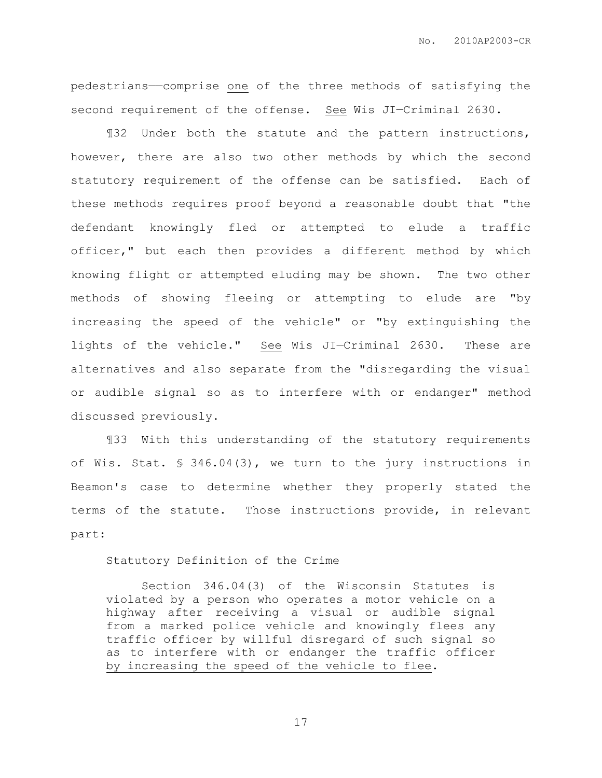pedestrians——comprise one of the three methods of satisfying the second requirement of the offense. See Wis JI—Criminal 2630.

¶32 Under both the statute and the pattern instructions, however, there are also two other methods by which the second statutory requirement of the offense can be satisfied. Each of these methods requires proof beyond a reasonable doubt that "the defendant knowingly fled or attempted to elude a traffic officer," but each then provides a different method by which knowing flight or attempted eluding may be shown. The two other methods of showing fleeing or attempting to elude are "by increasing the speed of the vehicle" or "by extinguishing the lights of the vehicle." See Wis JI—Criminal 2630. These are alternatives and also separate from the "disregarding the visual or audible signal so as to interfere with or endanger" method discussed previously.

¶33 With this understanding of the statutory requirements of Wis. Stat. § 346.04(3), we turn to the jury instructions in Beamon's case to determine whether they properly stated the terms of the statute. Those instructions provide, in relevant part:

Statutory Definition of the Crime

 Section 346.04(3) of the Wisconsin Statutes is violated by a person who operates a motor vehicle on a highway after receiving a visual or audible signal from a marked police vehicle and knowingly flees any traffic officer by willful disregard of such signal so as to interfere with or endanger the traffic officer by increasing the speed of the vehicle to flee.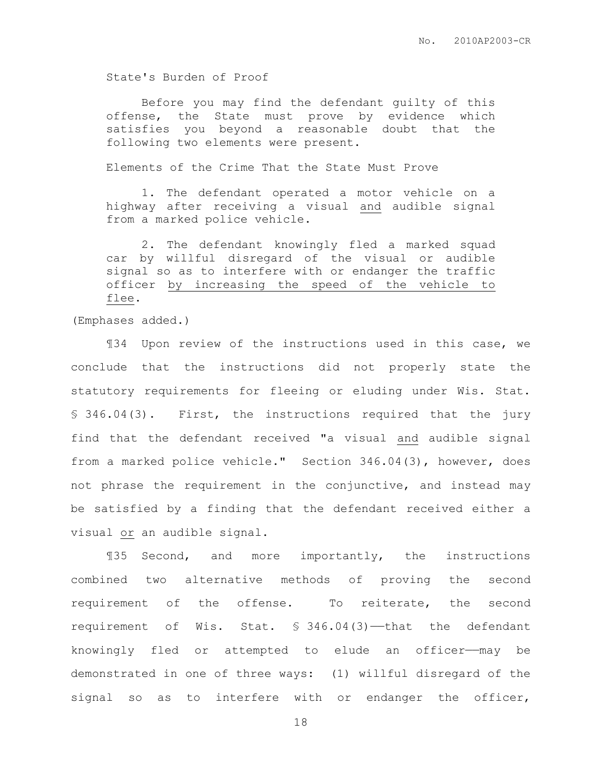State's Burden of Proof

 Before you may find the defendant guilty of this offense, the State must prove by evidence which satisfies you beyond a reasonable doubt that the following two elements were present.

Elements of the Crime That the State Must Prove

 1. The defendant operated a motor vehicle on a highway after receiving a visual and audible signal from a marked police vehicle.

 2. The defendant knowingly fled a marked squad car by willful disregard of the visual or audible signal so as to interfere with or endanger the traffic officer by increasing the speed of the vehicle to flee.

(Emphases added.)

¶34 Upon review of the instructions used in this case, we conclude that the instructions did not properly state the statutory requirements for fleeing or eluding under Wis. Stat. § 346.04(3). First, the instructions required that the jury find that the defendant received "a visual and audible signal from a marked police vehicle." Section 346.04(3), however, does not phrase the requirement in the conjunctive, and instead may be satisfied by a finding that the defendant received either a visual or an audible signal.

¶35 Second, and more importantly, the instructions combined two alternative methods of proving the second requirement of the offense. To reiterate, the second requirement of Wis. Stat. § 346.04(3)-that the defendant knowingly fled or attempted to elude an officer——may be demonstrated in one of three ways: (1) willful disregard of the signal so as to interfere with or endanger the officer,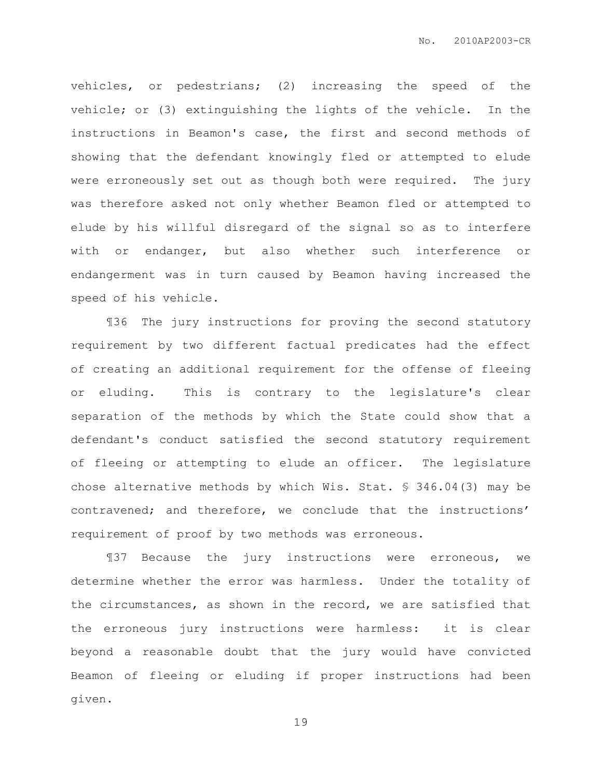vehicles, or pedestrians; (2) increasing the speed of the vehicle; or (3) extinguishing the lights of the vehicle. In the instructions in Beamon's case, the first and second methods of showing that the defendant knowingly fled or attempted to elude were erroneously set out as though both were required. The jury was therefore asked not only whether Beamon fled or attempted to elude by his willful disregard of the signal so as to interfere with or endanger, but also whether such interference or endangerment was in turn caused by Beamon having increased the speed of his vehicle.

¶36 The jury instructions for proving the second statutory requirement by two different factual predicates had the effect of creating an additional requirement for the offense of fleeing or eluding. This is contrary to the legislature's clear separation of the methods by which the State could show that a defendant's conduct satisfied the second statutory requirement of fleeing or attempting to elude an officer. The legislature chose alternative methods by which Wis. Stat. § 346.04(3) may be contravened; and therefore, we conclude that the instructions' requirement of proof by two methods was erroneous.

¶37 Because the jury instructions were erroneous, we determine whether the error was harmless. Under the totality of the circumstances, as shown in the record, we are satisfied that the erroneous jury instructions were harmless: it is clear beyond a reasonable doubt that the jury would have convicted Beamon of fleeing or eluding if proper instructions had been given.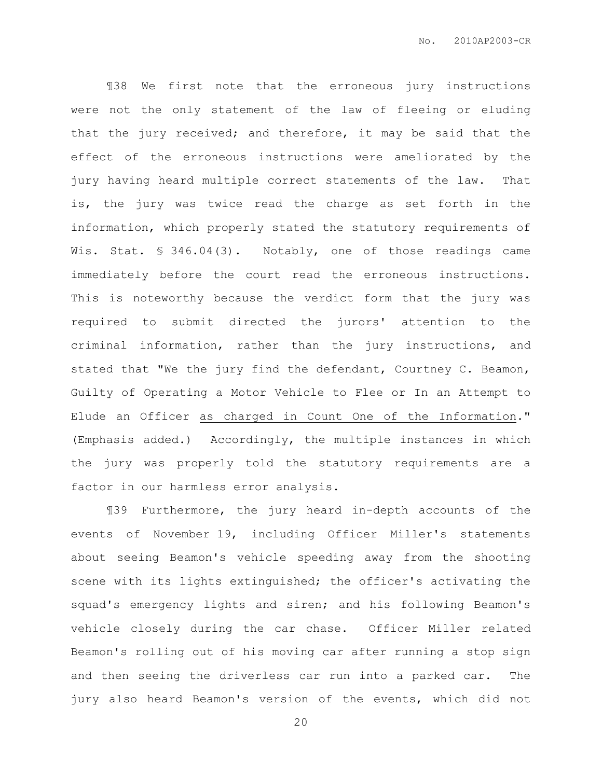¶38 We first note that the erroneous jury instructions were not the only statement of the law of fleeing or eluding that the jury received; and therefore, it may be said that the effect of the erroneous instructions were ameliorated by the jury having heard multiple correct statements of the law. That is, the jury was twice read the charge as set forth in the information, which properly stated the statutory requirements of Wis. Stat. § 346.04(3). Notably, one of those readings came immediately before the court read the erroneous instructions. This is noteworthy because the verdict form that the jury was required to submit directed the jurors' attention to the criminal information, rather than the jury instructions, and stated that "We the jury find the defendant, Courtney C. Beamon, Guilty of Operating a Motor Vehicle to Flee or In an Attempt to Elude an Officer as charged in Count One of the Information." (Emphasis added.) Accordingly, the multiple instances in which the jury was properly told the statutory requirements are a factor in our harmless error analysis.

¶39 Furthermore, the jury heard in-depth accounts of the events of November 19, including Officer Miller's statements about seeing Beamon's vehicle speeding away from the shooting scene with its lights extinguished; the officer's activating the squad's emergency lights and siren; and his following Beamon's vehicle closely during the car chase. Officer Miller related Beamon's rolling out of his moving car after running a stop sign and then seeing the driverless car run into a parked car. The jury also heard Beamon's version of the events, which did not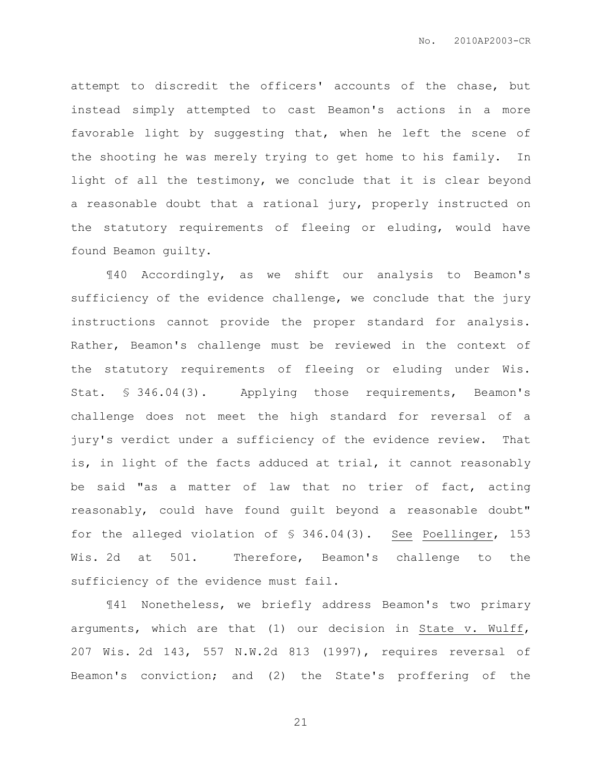attempt to discredit the officers' accounts of the chase, but instead simply attempted to cast Beamon's actions in a more favorable light by suggesting that, when he left the scene of the shooting he was merely trying to get home to his family. In light of all the testimony, we conclude that it is clear beyond a reasonable doubt that a rational jury, properly instructed on the statutory requirements of fleeing or eluding, would have found Beamon guilty.

¶40 Accordingly, as we shift our analysis to Beamon's sufficiency of the evidence challenge, we conclude that the jury instructions cannot provide the proper standard for analysis. Rather, Beamon's challenge must be reviewed in the context of the statutory requirements of fleeing or eluding under Wis. Stat. § 346.04(3). Applying those requirements, Beamon's challenge does not meet the high standard for reversal of a jury's verdict under a sufficiency of the evidence review. That is, in light of the facts adduced at trial, it cannot reasonably be said "as a matter of law that no trier of fact, acting reasonably, could have found guilt beyond a reasonable doubt" for the alleged violation of § 346.04(3). See Poellinger, 153 Wis. 2d at 501. Therefore, Beamon's challenge to the sufficiency of the evidence must fail.

¶41 Nonetheless, we briefly address Beamon's two primary arguments, which are that (1) our decision in State v. Wulff, 207 Wis. 2d 143, 557 N.W.2d 813 (1997), requires reversal of Beamon's conviction; and (2) the State's proffering of the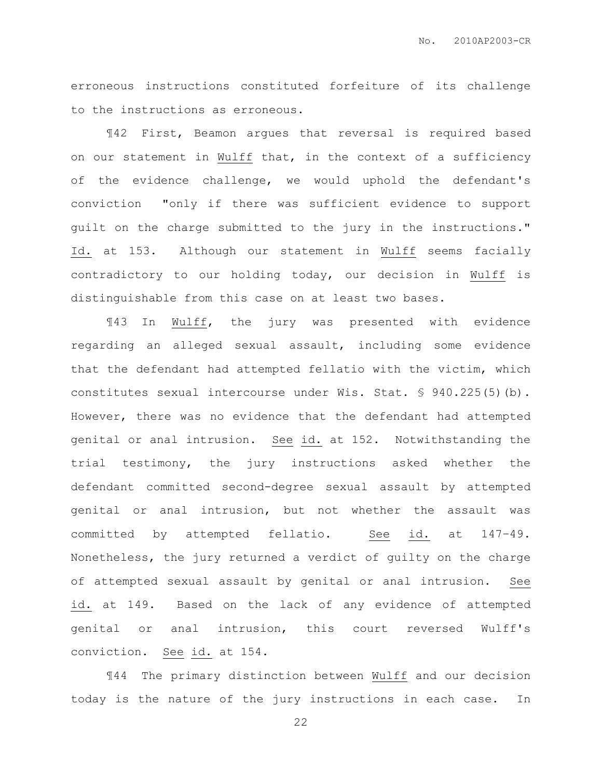erroneous instructions constituted forfeiture of its challenge to the instructions as erroneous.

¶42 First, Beamon argues that reversal is required based on our statement in Wulff that, in the context of a sufficiency of the evidence challenge, we would uphold the defendant's conviction "only if there was sufficient evidence to support guilt on the charge submitted to the jury in the instructions." Id. at 153. Although our statement in Wulff seems facially contradictory to our holding today, our decision in Wulff is distinguishable from this case on at least two bases.

¶43 In Wulff, the jury was presented with evidence regarding an alleged sexual assault, including some evidence that the defendant had attempted fellatio with the victim, which constitutes sexual intercourse under Wis. Stat. § 940.225(5)(b). However, there was no evidence that the defendant had attempted genital or anal intrusion. See id. at 152. Notwithstanding the trial testimony, the jury instructions asked whether the defendant committed second-degree sexual assault by attempted genital or anal intrusion, but not whether the assault was committed by attempted fellatio. See id. at 147–49. Nonetheless, the jury returned a verdict of guilty on the charge of attempted sexual assault by genital or anal intrusion. See id. at 149. Based on the lack of any evidence of attempted genital or anal intrusion, this court reversed Wulff's conviction. See id. at 154.

¶44 The primary distinction between Wulff and our decision today is the nature of the jury instructions in each case. In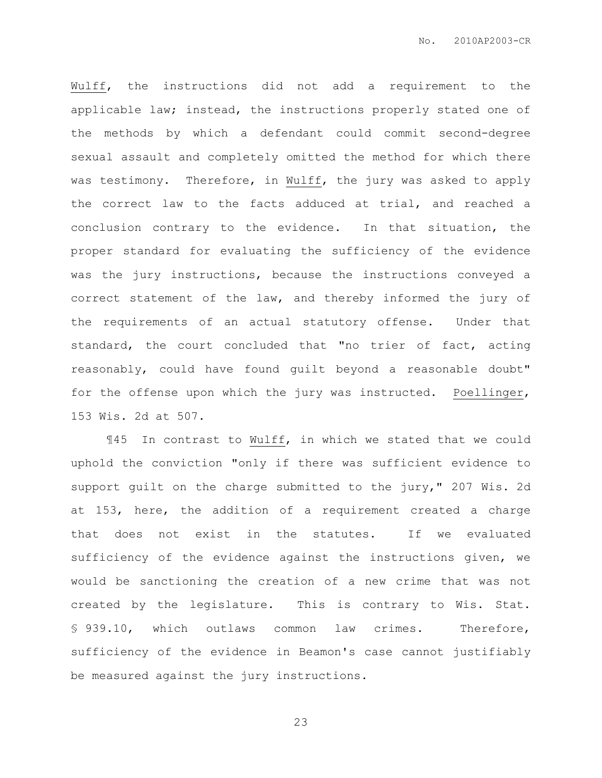Wulff, the instructions did not add a requirement to the applicable law; instead, the instructions properly stated one of the methods by which a defendant could commit second-degree sexual assault and completely omitted the method for which there was testimony. Therefore, in Wulff, the jury was asked to apply the correct law to the facts adduced at trial, and reached a conclusion contrary to the evidence. In that situation, the proper standard for evaluating the sufficiency of the evidence was the jury instructions, because the instructions conveyed a correct statement of the law, and thereby informed the jury of the requirements of an actual statutory offense. Under that standard, the court concluded that "no trier of fact, acting reasonably, could have found guilt beyond a reasonable doubt" for the offense upon which the jury was instructed. Poellinger, 153 Wis. 2d at 507.

¶45 In contrast to Wulff, in which we stated that we could uphold the conviction "only if there was sufficient evidence to support guilt on the charge submitted to the jury," 207 Wis. 2d at 153, here, the addition of a requirement created a charge that does not exist in the statutes. If we evaluated sufficiency of the evidence against the instructions given, we would be sanctioning the creation of a new crime that was not created by the legislature. This is contrary to Wis. Stat. § 939.10, which outlaws common law crimes. Therefore, sufficiency of the evidence in Beamon's case cannot justifiably be measured against the jury instructions.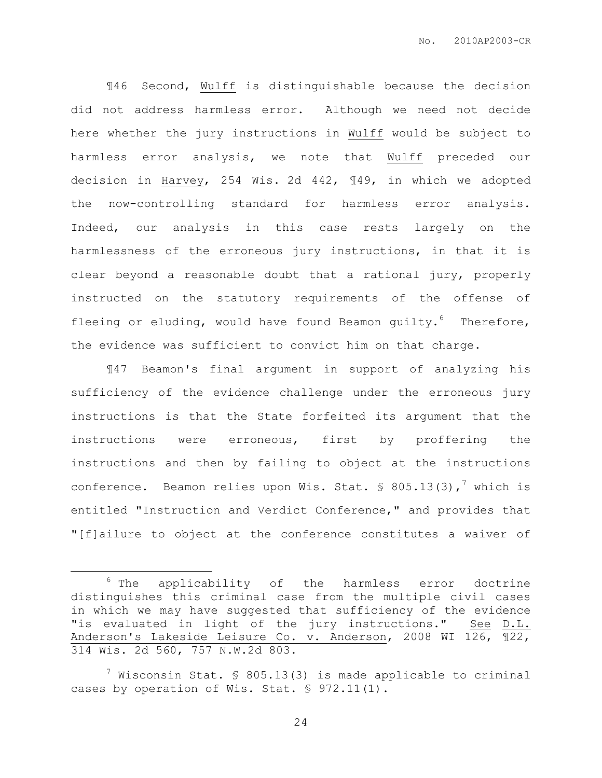¶46 Second, Wulff is distinguishable because the decision did not address harmless error. Although we need not decide here whether the jury instructions in Wulff would be subject to harmless error analysis, we note that Wulff preceded our decision in Harvey, 254 Wis. 2d 442, ¶49, in which we adopted the now-controlling standard for harmless error analysis. Indeed, our analysis in this case rests largely on the harmlessness of the erroneous jury instructions, in that it is clear beyond a reasonable doubt that a rational jury, properly instructed on the statutory requirements of the offense of fleeing or eluding, would have found Beamon guilty. $6$  Therefore, the evidence was sufficient to convict him on that charge.

¶47 Beamon's final argument in support of analyzing his sufficiency of the evidence challenge under the erroneous jury instructions is that the State forfeited its argument that the instructions were erroneous, first by proffering the instructions and then by failing to object at the instructions conference. Beamon relies upon Wis. Stat.  $\frac{1}{5}$  805.13(3),<sup>7</sup> which is entitled "Instruction and Verdict Conference," and provides that "[f]ailure to object at the conference constitutes a waiver of

 $\overline{a}$ 

 $6$  The applicability of the harmless error doctrine distinguishes this criminal case from the multiple civil cases in which we may have suggested that sufficiency of the evidence "is evaluated in light of the jury instructions." See D.L. Anderson's Lakeside Leisure Co. v. Anderson, 2008 WI 126, ¶22, 314 Wis. 2d 560, 757 N.W.2d 803.

 $7$  Wisconsin Stat. § 805.13(3) is made applicable to criminal cases by operation of Wis. Stat. § 972.11(1).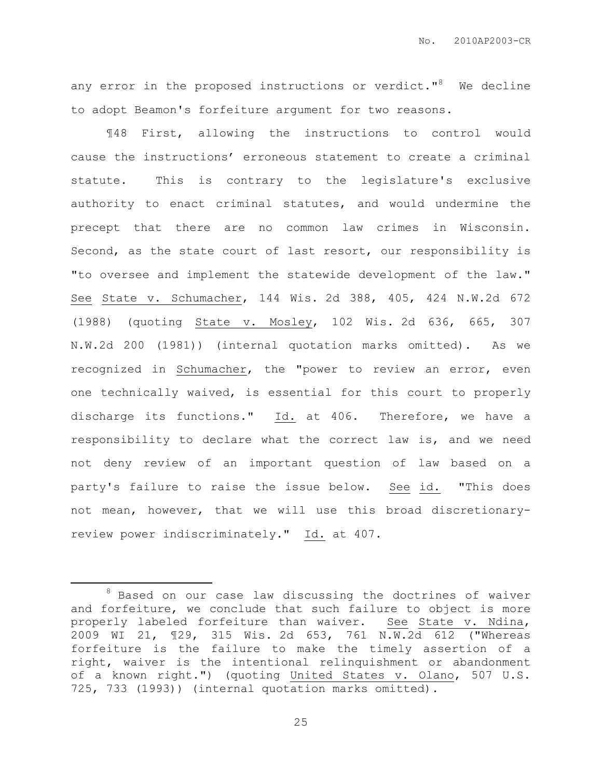any error in the proposed instructions or verdict."<sup>8</sup> We decline to adopt Beamon's forfeiture argument for two reasons.

¶48 First, allowing the instructions to control would cause the instructions' erroneous statement to create a criminal statute. This is contrary to the legislature's exclusive authority to enact criminal statutes, and would undermine the precept that there are no common law crimes in Wisconsin. Second, as the state court of last resort, our responsibility is "to oversee and implement the statewide development of the law." See State v. Schumacher, 144 Wis. 2d 388, 405, 424 N.W.2d 672 (1988) (quoting State v. Mosley, 102 Wis. 2d 636, 665, 307 N.W.2d 200 (1981)) (internal quotation marks omitted). As we recognized in Schumacher, the "power to review an error, even one technically waived, is essential for this court to properly discharge its functions." Id. at 406. Therefore, we have a responsibility to declare what the correct law is, and we need not deny review of an important question of law based on a party's failure to raise the issue below. See id. "This does not mean, however, that we will use this broad discretionaryreview power indiscriminately." Id. at 407.

 $\overline{a}$ 

<sup>8</sup> Based on our case law discussing the doctrines of waiver and forfeiture, we conclude that such failure to object is more properly labeled forfeiture than waiver. See State v. Ndina, 2009 WI 21, ¶29, 315 Wis. 2d 653, 761 N.W.2d 612 ("Whereas forfeiture is the failure to make the timely assertion of a right, waiver is the intentional relinquishment or abandonment of a known right.") (quoting United States v. Olano, 507 U.S. 725, 733 (1993)) (internal quotation marks omitted).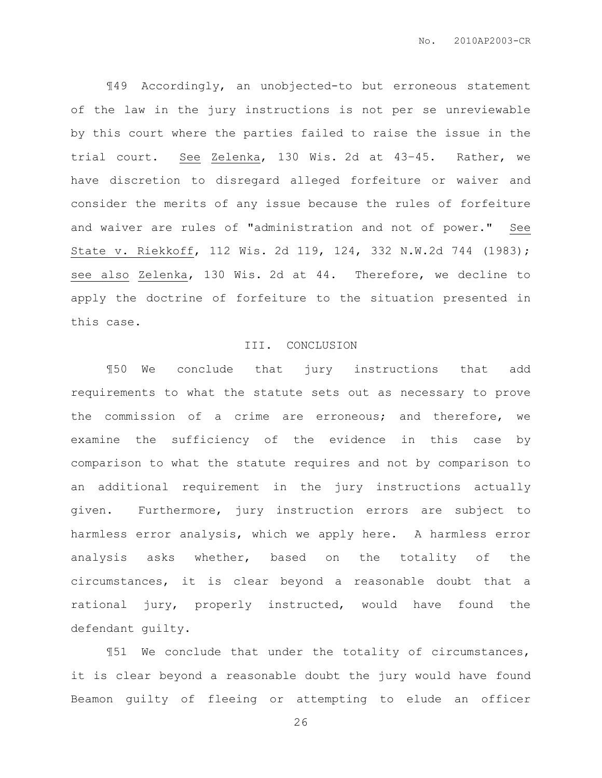¶49 Accordingly, an unobjected-to but erroneous statement of the law in the jury instructions is not per se unreviewable by this court where the parties failed to raise the issue in the trial court. See Zelenka, 130 Wis. 2d at 43–45. Rather, we have discretion to disregard alleged forfeiture or waiver and consider the merits of any issue because the rules of forfeiture and waiver are rules of "administration and not of power." See State v. Riekkoff, 112 Wis. 2d 119, 124, 332 N.W.2d 744 (1983); see also Zelenka, 130 Wis. 2d at 44. Therefore, we decline to apply the doctrine of forfeiture to the situation presented in this case.

#### III. CONCLUSION

¶50 We conclude that jury instructions that add requirements to what the statute sets out as necessary to prove the commission of a crime are erroneous; and therefore, we examine the sufficiency of the evidence in this case by comparison to what the statute requires and not by comparison to an additional requirement in the jury instructions actually given. Furthermore, jury instruction errors are subject to harmless error analysis, which we apply here. A harmless error analysis asks whether, based on the totality of the circumstances, it is clear beyond a reasonable doubt that a rational jury, properly instructed, would have found the defendant guilty.

¶51 We conclude that under the totality of circumstances, it is clear beyond a reasonable doubt the jury would have found Beamon guilty of fleeing or attempting to elude an officer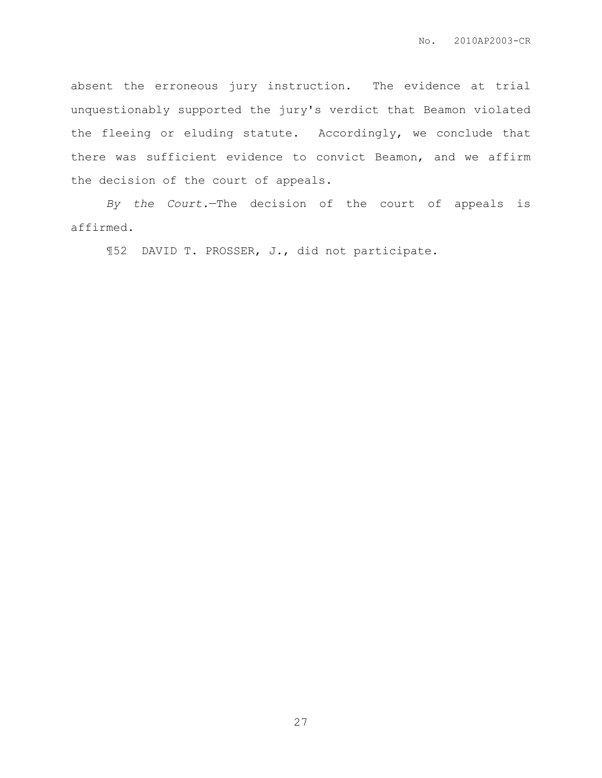absent the erroneous jury instruction. The evidence at trial unquestionably supported the jury's verdict that Beamon violated the fleeing or eluding statute. Accordingly, we conclude that there was sufficient evidence to convict Beamon, and we affirm the decision of the court of appeals.

*By the Court.*—The decision of the court of appeals is affirmed.

¶52 DAVID T. PROSSER, J., did not participate.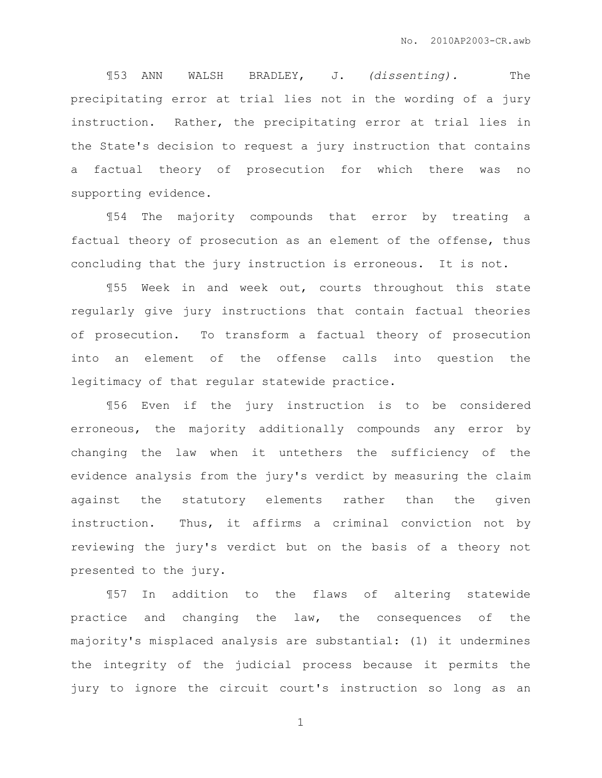¶53 ANN WALSH BRADLEY, J. *(dissenting).* The precipitating error at trial lies not in the wording of a jury instruction. Rather, the precipitating error at trial lies in the State's decision to request a jury instruction that contains a factual theory of prosecution for which there was no supporting evidence.

¶54 The majority compounds that error by treating a factual theory of prosecution as an element of the offense, thus concluding that the jury instruction is erroneous. It is not.

¶55 Week in and week out, courts throughout this state regularly give jury instructions that contain factual theories of prosecution. To transform a factual theory of prosecution into an element of the offense calls into question the legitimacy of that regular statewide practice.

¶56 Even if the jury instruction is to be considered erroneous, the majority additionally compounds any error by changing the law when it untethers the sufficiency of the evidence analysis from the jury's verdict by measuring the claim against the statutory elements rather than the given instruction. Thus, it affirms a criminal conviction not by reviewing the jury's verdict but on the basis of a theory not presented to the jury.

¶57 In addition to the flaws of altering statewide practice and changing the law, the consequences of the majority's misplaced analysis are substantial: (1) it undermines the integrity of the judicial process because it permits the jury to ignore the circuit court's instruction so long as an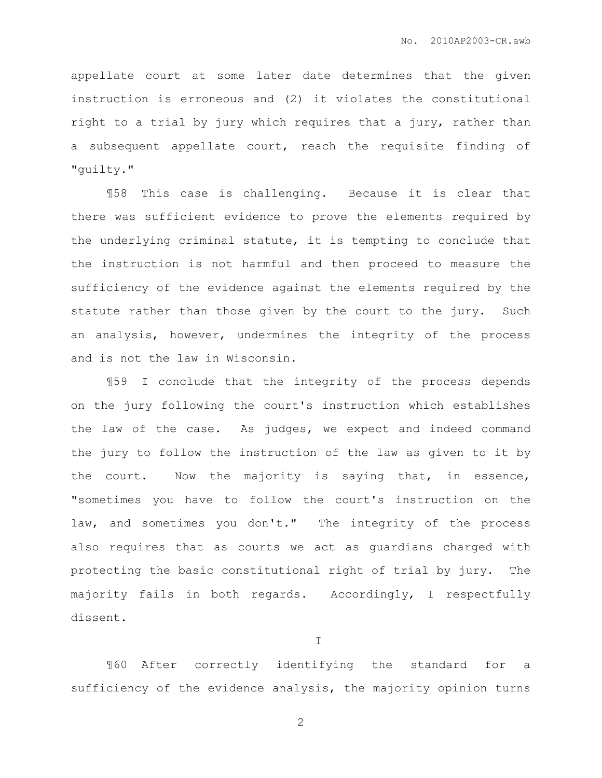appellate court at some later date determines that the given instruction is erroneous and (2) it violates the constitutional right to a trial by jury which requires that a jury, rather than a subsequent appellate court, reach the requisite finding of "guilty."

¶58 This case is challenging. Because it is clear that there was sufficient evidence to prove the elements required by the underlying criminal statute, it is tempting to conclude that the instruction is not harmful and then proceed to measure the sufficiency of the evidence against the elements required by the statute rather than those given by the court to the jury. Such an analysis, however, undermines the integrity of the process and is not the law in Wisconsin.

¶59 I conclude that the integrity of the process depends on the jury following the court's instruction which establishes the law of the case. As judges, we expect and indeed command the jury to follow the instruction of the law as given to it by the court. Now the majority is saying that, in essence, "sometimes you have to follow the court's instruction on the law, and sometimes you don't." The integrity of the process also requires that as courts we act as guardians charged with protecting the basic constitutional right of trial by jury. The majority fails in both regards. Accordingly, I respectfully dissent.

I

¶60 After correctly identifying the standard for a sufficiency of the evidence analysis, the majority opinion turns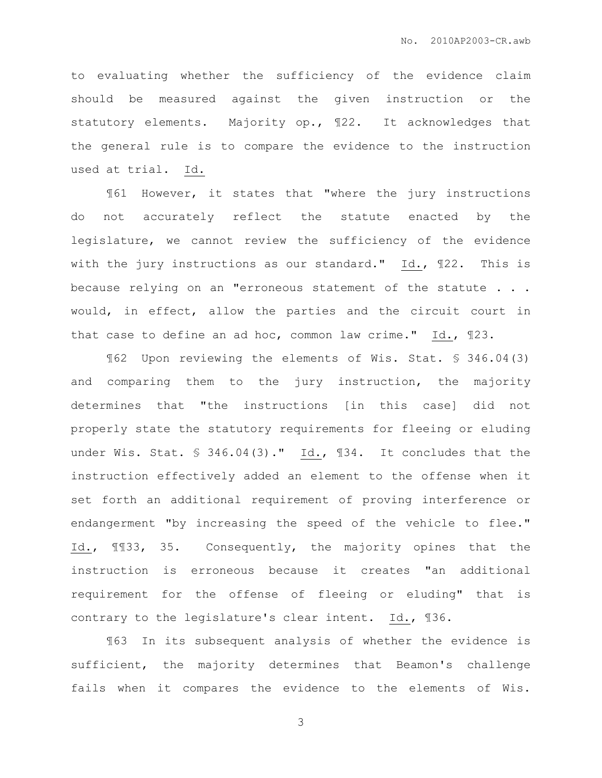to evaluating whether the sufficiency of the evidence claim should be measured against the given instruction or the statutory elements. Majority op., ¶22. It acknowledges that the general rule is to compare the evidence to the instruction used at trial. Id.

¶61 However, it states that "where the jury instructions do not accurately reflect the statute enacted by the legislature, we cannot review the sufficiency of the evidence with the jury instructions as our standard." Id., ¶22. This is because relying on an "erroneous statement of the statute . . . would, in effect, allow the parties and the circuit court in that case to define an ad hoc, common law crime." Id., ¶23.

¶62 Upon reviewing the elements of Wis. Stat. § 346.04(3) and comparing them to the jury instruction, the majority determines that "the instructions [in this case] did not properly state the statutory requirements for fleeing or eluding under Wis. Stat. § 346.04(3)." Id., 134. It concludes that the instruction effectively added an element to the offense when it set forth an additional requirement of proving interference or endangerment "by increasing the speed of the vehicle to flee." Id., ¶¶33, 35. Consequently, the majority opines that the instruction is erroneous because it creates "an additional requirement for the offense of fleeing or eluding" that is contrary to the legislature's clear intent. Id., ¶36.

¶63 In its subsequent analysis of whether the evidence is sufficient, the majority determines that Beamon's challenge fails when it compares the evidence to the elements of Wis.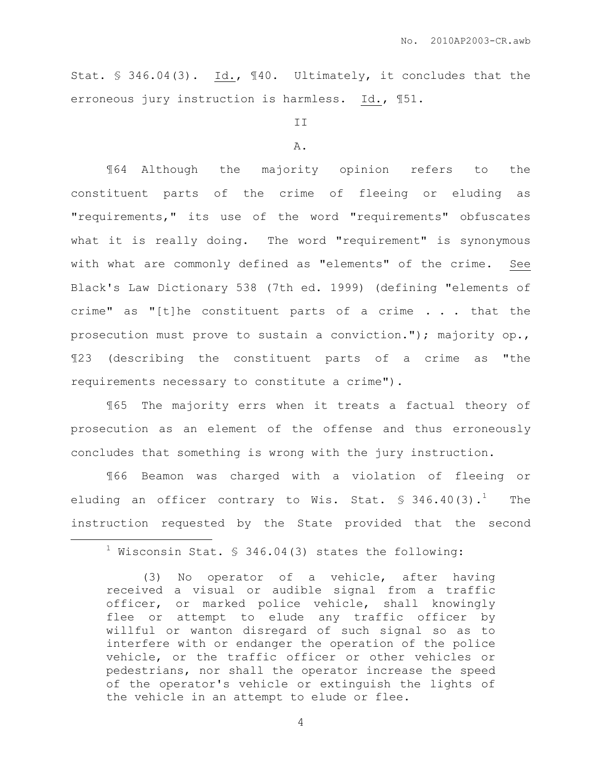Stat. § 346.04(3). Id., ¶40. Ultimately, it concludes that the erroneous jury instruction is harmless. Id., ¶51.

#### II

#### A.

¶64 Although the majority opinion refers to the constituent parts of the crime of fleeing or eluding as "requirements," its use of the word "requirements" obfuscates what it is really doing. The word "requirement" is synonymous with what are commonly defined as "elements" of the crime. See Black's Law Dictionary 538 (7th ed. 1999) (defining "elements of crime" as "[t]he constituent parts of a crime . . . that the prosecution must prove to sustain a conviction."); majority op., ¶23 (describing the constituent parts of a crime as "the requirements necessary to constitute a crime").

¶65 The majority errs when it treats a factual theory of prosecution as an element of the offense and thus erroneously concludes that something is wrong with the jury instruction.

¶66 Beamon was charged with a violation of fleeing or eluding an officer contrary to Wis. Stat.  $\$346.40(3)$ .<sup>1</sup> The instruction requested by the State provided that the second

 $\overline{a}$ 

 $1$  Wisconsin Stat. § 346.04(3) states the following:

<sup>(3)</sup> No operator of a vehicle, after having received a visual or audible signal from a traffic officer, or marked police vehicle, shall knowingly flee or attempt to elude any traffic officer by willful or wanton disregard of such signal so as to interfere with or endanger the operation of the police vehicle, or the traffic officer or other vehicles or pedestrians, nor shall the operator increase the speed of the operator's vehicle or extinguish the lights of the vehicle in an attempt to elude or flee.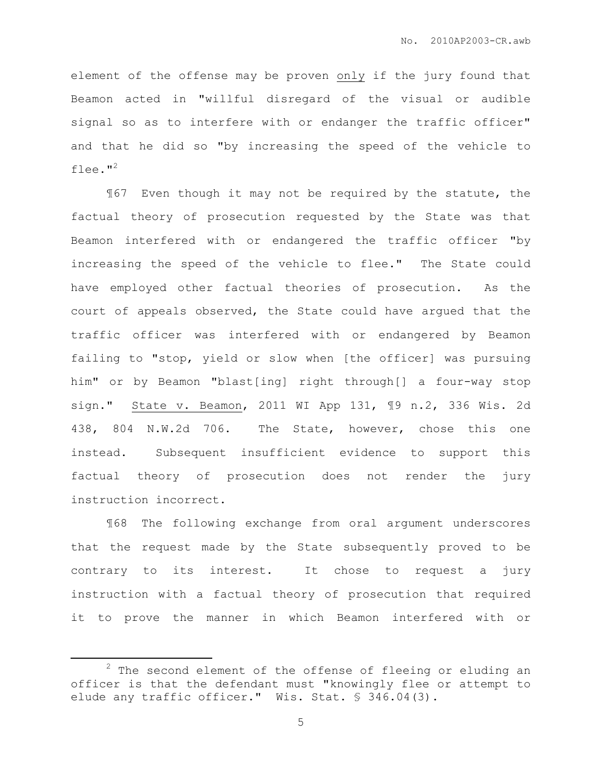element of the offense may be proven only if the jury found that Beamon acted in "willful disregard of the visual or audible signal so as to interfere with or endanger the traffic officer" and that he did so "by increasing the speed of the vehicle to flee. $"^2$ 

¶67 Even though it may not be required by the statute, the factual theory of prosecution requested by the State was that Beamon interfered with or endangered the traffic officer "by increasing the speed of the vehicle to flee." The State could have employed other factual theories of prosecution. As the court of appeals observed, the State could have argued that the traffic officer was interfered with or endangered by Beamon failing to "stop, yield or slow when [the officer] was pursuing him" or by Beamon "blast[ing] right through[] a four-way stop sign." State v. Beamon, 2011 WI App 131, ¶9 n.2, 336 Wis. 2d 438, 804 N.W.2d 706. The State, however, chose this one instead. Subsequent insufficient evidence to support this factual theory of prosecution does not render the jury instruction incorrect.

¶68 The following exchange from oral argument underscores that the request made by the State subsequently proved to be contrary to its interest. It chose to request a jury instruction with a factual theory of prosecution that required it to prove the manner in which Beamon interfered with or

 $\overline{a}$ 

 $2$  The second element of the offense of fleeing or eluding an officer is that the defendant must "knowingly flee or attempt to elude any traffic officer." Wis. Stat. § 346.04(3).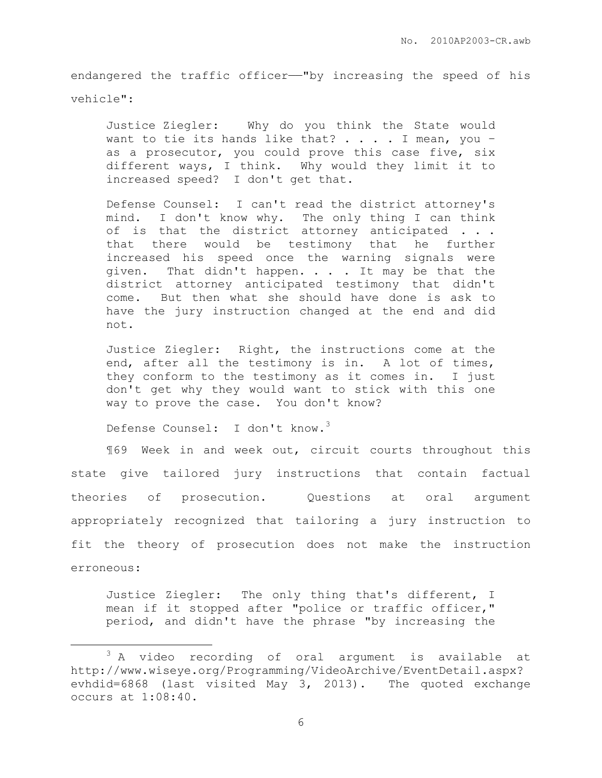endangered the traffic officer-"by increasing the speed of his vehicle":

Justice Ziegler: Why do you think the State would want to tie its hands like that?  $\ldots$  . I mean, you as a prosecutor, you could prove this case five, six different ways, I think. Why would they limit it to increased speed? I don't get that.

Defense Counsel: I can't read the district attorney's mind. I don't know why. The only thing I can think of is that the district attorney anticipated . . . that there would be testimony that he further increased his speed once the warning signals were given. That didn't happen. . . . It may be that the district attorney anticipated testimony that didn't come. But then what she should have done is ask to have the jury instruction changed at the end and did not.

Justice Ziegler: Right, the instructions come at the end, after all the testimony is in. A lot of times, they conform to the testimony as it comes in. I just don't get why they would want to stick with this one way to prove the case. You don't know?

Defense Counsel: I don't know.<sup>3</sup>

 $\overline{a}$ 

¶69 Week in and week out, circuit courts throughout this state give tailored jury instructions that contain factual theories of prosecution. Questions at oral argument appropriately recognized that tailoring a jury instruction to fit the theory of prosecution does not make the instruction erroneous:

Justice Ziegler: The only thing that's different, I mean if it stopped after "police or traffic officer," period, and didn't have the phrase "by increasing the

<sup>&</sup>lt;sup>3</sup> A video recording of oral argument is available at http://www.wiseye.org/Programming/VideoArchive/EventDetail.aspx? evhdid=6868 (last visited May 3, 2013). The quoted exchange occurs at 1:08:40.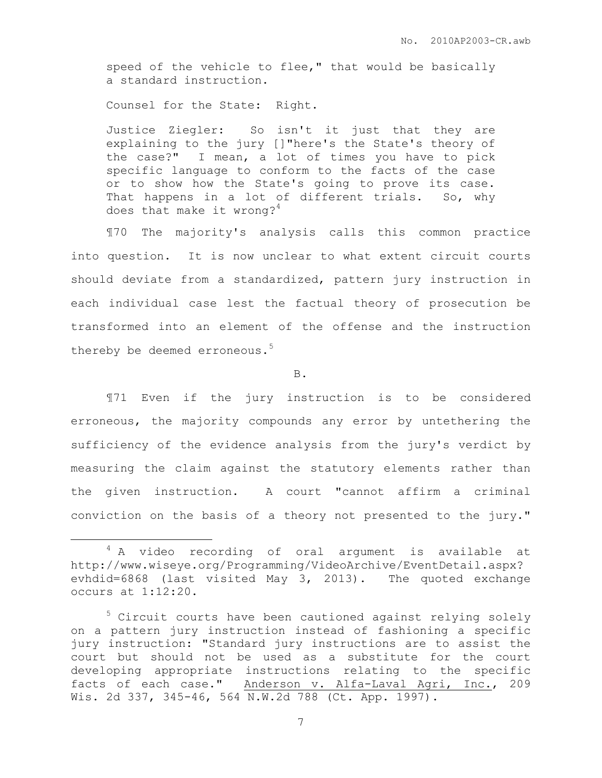speed of the vehicle to flee," that would be basically a standard instruction.

Counsel for the State: Right.

 $\overline{a}$ 

Justice Ziegler: So isn't it just that they are explaining to the jury []"here's the State's theory of the case?" I mean, a lot of times you have to pick specific language to conform to the facts of the case or to show how the State's going to prove its case. That happens in a lot of different trials. So, why does that make it wrong?<sup>4</sup>

¶70 The majority's analysis calls this common practice into question. It is now unclear to what extent circuit courts should deviate from a standardized, pattern jury instruction in each individual case lest the factual theory of prosecution be transformed into an element of the offense and the instruction thereby be deemed erroneous.<sup>5</sup>

B.

¶71 Even if the jury instruction is to be considered erroneous, the majority compounds any error by untethering the sufficiency of the evidence analysis from the jury's verdict by measuring the claim against the statutory elements rather than the given instruction. A court "cannot affirm a criminal conviction on the basis of a theory not presented to the jury."

<sup>&</sup>lt;sup>4</sup> A video recording of oral argument is available at http://www.wiseye.org/Programming/VideoArchive/EventDetail.aspx? evhdid=6868 (last visited May 3, 2013). The quoted exchange occurs at 1:12:20.

 $5$  Circuit courts have been cautioned against relying solely on a pattern jury instruction instead of fashioning a specific jury instruction: "Standard jury instructions are to assist the court but should not be used as a substitute for the court developing appropriate instructions relating to the specific facts of each case." Anderson v. Alfa-Laval Agri, Inc., 209 Wis. 2d 337, 345-46, 564 N.W.2d 788 (Ct. App. 1997).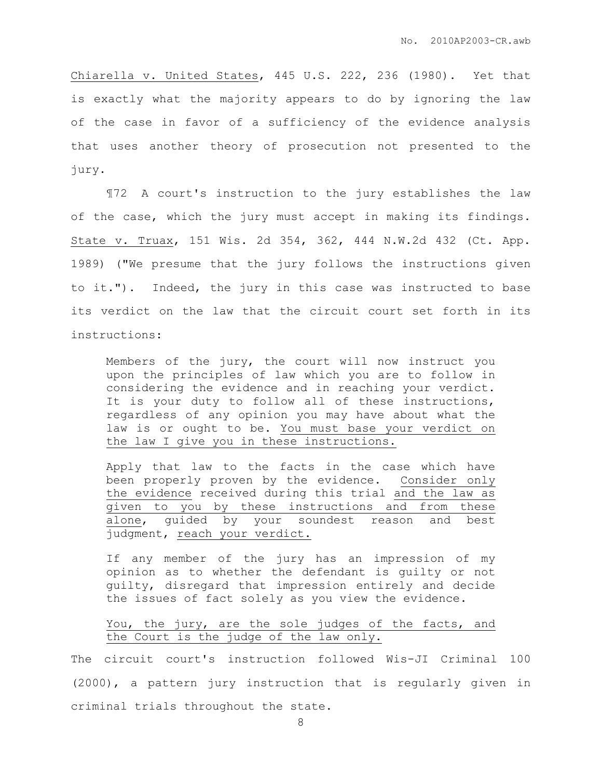Chiarella v. United States, 445 U.S. 222, 236 (1980). Yet that is exactly what the majority appears to do by ignoring the law of the case in favor of a sufficiency of the evidence analysis that uses another theory of prosecution not presented to the jury.

¶72 A court's instruction to the jury establishes the law of the case, which the jury must accept in making its findings. State v. Truax, 151 Wis. 2d 354, 362, 444 N.W.2d 432 (Ct. App. 1989) ("We presume that the jury follows the instructions given to it."). Indeed, the jury in this case was instructed to base its verdict on the law that the circuit court set forth in its instructions:

Members of the jury, the court will now instruct you upon the principles of law which you are to follow in considering the evidence and in reaching your verdict. It is your duty to follow all of these instructions, regardless of any opinion you may have about what the law is or ought to be. You must base your verdict on the law I give you in these instructions.

Apply that law to the facts in the case which have been properly proven by the evidence. Consider only the evidence received during this trial and the law as given to you by these instructions and from these alone, guided by your soundest reason and best judgment, reach your verdict.

If any member of the jury has an impression of my opinion as to whether the defendant is guilty or not guilty, disregard that impression entirely and decide the issues of fact solely as you view the evidence.

# You, the jury, are the sole judges of the facts, and the Court is the judge of the law only.

The circuit court's instruction followed Wis-JI Criminal 100 (2000), a pattern jury instruction that is regularly given in criminal trials throughout the state.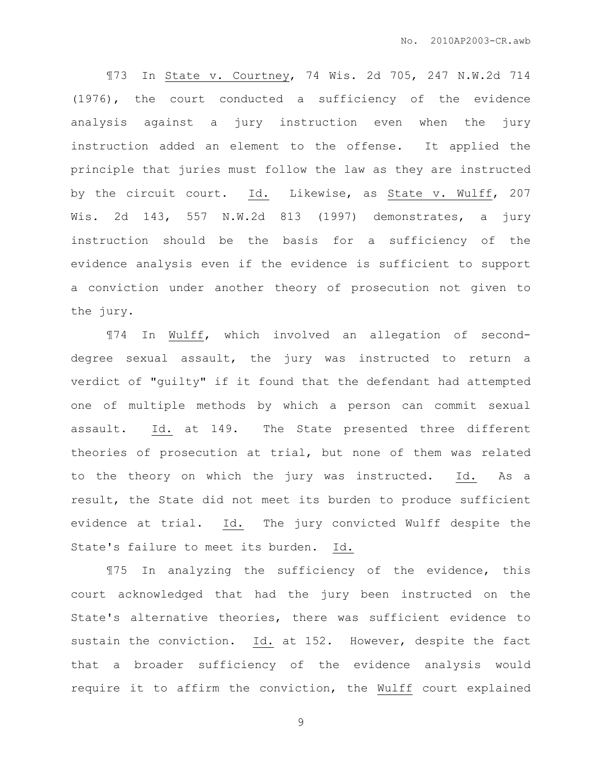¶73 In State v. Courtney, 74 Wis. 2d 705, 247 N.W.2d 714 (1976), the court conducted a sufficiency of the evidence analysis against a jury instruction even when the jury instruction added an element to the offense. It applied the principle that juries must follow the law as they are instructed by the circuit court. Id. Likewise, as State v. Wulff, 207 Wis. 2d 143, 557 N.W.2d 813 (1997) demonstrates, a jury instruction should be the basis for a sufficiency of the evidence analysis even if the evidence is sufficient to support a conviction under another theory of prosecution not given to the jury.

¶74 In Wulff, which involved an allegation of seconddegree sexual assault, the jury was instructed to return a verdict of "guilty" if it found that the defendant had attempted one of multiple methods by which a person can commit sexual assault. Id. at 149. The State presented three different theories of prosecution at trial, but none of them was related to the theory on which the jury was instructed. Id. As a result, the State did not meet its burden to produce sufficient evidence at trial. Id. The jury convicted Wulff despite the State's failure to meet its burden. Id.

¶75 In analyzing the sufficiency of the evidence, this court acknowledged that had the jury been instructed on the State's alternative theories, there was sufficient evidence to sustain the conviction. Id. at 152. However, despite the fact that a broader sufficiency of the evidence analysis would require it to affirm the conviction, the Wulff court explained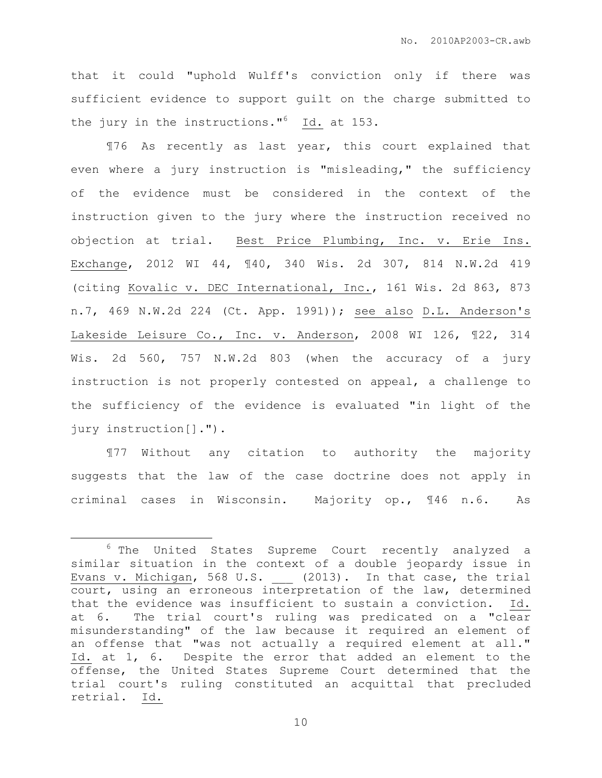that it could "uphold Wulff's conviction only if there was sufficient evidence to support guilt on the charge submitted to the jury in the instructions."<sup>6</sup> Id. at 153.

¶76 As recently as last year, this court explained that even where a jury instruction is "misleading," the sufficiency of the evidence must be considered in the context of the instruction given to the jury where the instruction received no objection at trial. Best Price Plumbing, Inc. v. Erie Ins. Exchange, 2012 WI 44, ¶40, 340 Wis. 2d 307, 814 N.W.2d 419 (citing Kovalic v. DEC International, Inc., 161 Wis. 2d 863, 873 n.7, 469 N.W.2d 224 (Ct. App. 1991)); see also D.L. Anderson's Lakeside Leisure Co., Inc. v. Anderson, 2008 WI 126, ¶22, 314 Wis. 2d 560, 757 N.W.2d 803 (when the accuracy of a jury instruction is not properly contested on appeal, a challenge to the sufficiency of the evidence is evaluated "in light of the jury instruction[].").

¶77 Without any citation to authority the majority suggests that the law of the case doctrine does not apply in criminal cases in Wisconsin. Majority op., ¶46 n.6. As

 $\overline{a}$ 

<sup>6</sup> The United States Supreme Court recently analyzed a similar situation in the context of a double jeopardy issue in Evans v. Michigan, 568 U.S. \_\_\_ (2013). In that case, the trial court, using an erroneous interpretation of the law, determined that the evidence was insufficient to sustain a conviction. Id. at 6. The trial court's ruling was predicated on a "clear misunderstanding" of the law because it required an element of an offense that "was not actually a required element at all." Id. at 1, 6. Despite the error that added an element to the offense, the United States Supreme Court determined that the trial court's ruling constituted an acquittal that precluded retrial. Id.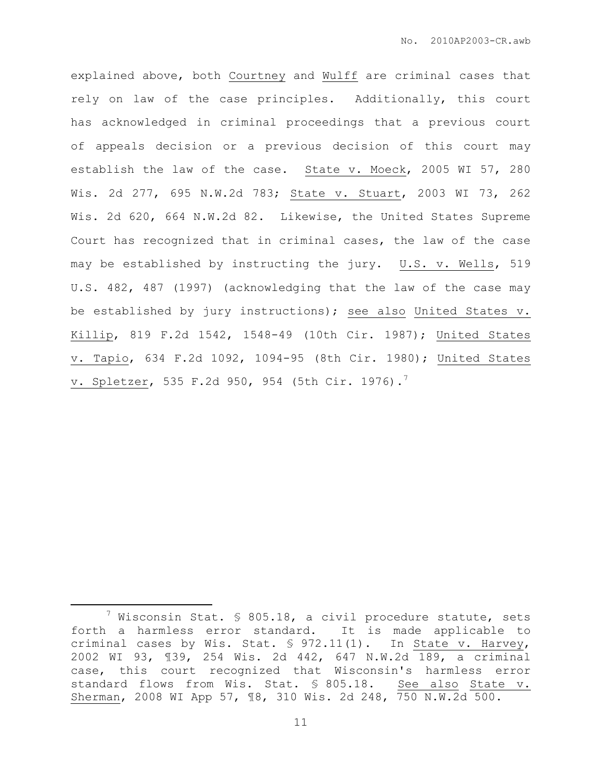explained above, both Courtney and Wulff are criminal cases that rely on law of the case principles. Additionally, this court has acknowledged in criminal proceedings that a previous court of appeals decision or a previous decision of this court may establish the law of the case. State v. Moeck, 2005 WI 57, 280 Wis. 2d 277, 695 N.W.2d 783; State v. Stuart, 2003 WI 73, 262 Wis. 2d 620, 664 N.W.2d 82. Likewise, the United States Supreme Court has recognized that in criminal cases, the law of the case may be established by instructing the jury. U.S. v. Wells, 519 U.S. 482, 487 (1997) (acknowledging that the law of the case may be established by jury instructions); see also United States v. Killip, 819 F.2d 1542, 1548-49 (10th Cir. 1987); United States v. Tapio, 634 F.2d 1092, 1094-95 (8th Cir. 1980); United States v. Spletzer, 535 F.2d 950, 954 (5th Cir. 1976).<sup>7</sup>

 $\overline{a}$ 

 $7$  Wisconsin Stat. § 805.18, a civil procedure statute, sets forth a harmless error standard. It is made applicable to criminal cases by Wis. Stat. § 972.11(1). In State v. Harvey, 2002 WI 93, ¶39, 254 Wis. 2d 442, 647 N.W.2d 189, a criminal case, this court recognized that Wisconsin's harmless error standard flows from Wis. Stat. § 805.18. See also State v. Sherman, 2008 WI App 57, ¶8, 310 Wis. 2d 248, 750 N.W.2d 500.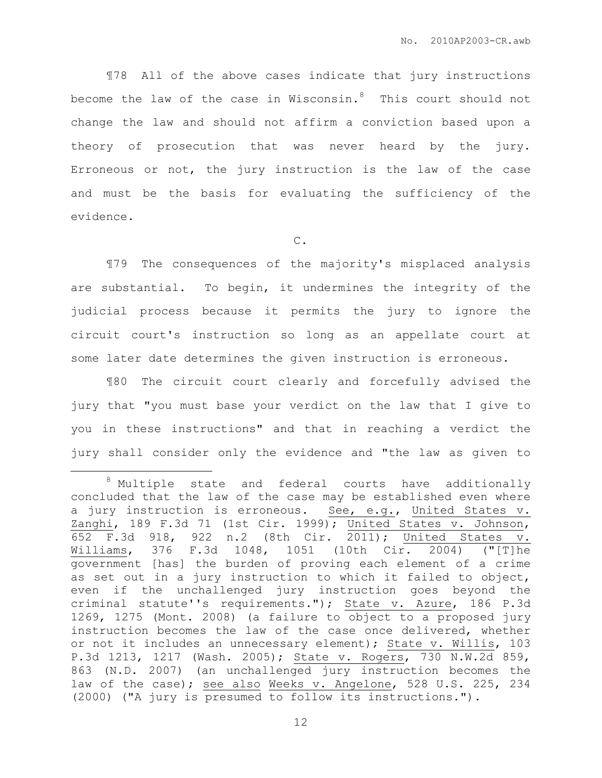¶78 All of the above cases indicate that jury instructions become the law of the case in Wisconsin. $8$  This court should not change the law and should not affirm a conviction based upon a theory of prosecution that was never heard by the jury. Erroneous or not, the jury instruction is the law of the case and must be the basis for evaluating the sufficiency of the evidence.

C.

 ¶79 The consequences of the majority's misplaced analysis are substantial. To begin, it undermines the integrity of the judicial process because it permits the jury to ignore the circuit court's instruction so long as an appellate court at some later date determines the given instruction is erroneous.

¶80 The circuit court clearly and forcefully advised the jury that "you must base your verdict on the law that I give to you in these instructions" and that in reaching a verdict the jury shall consider only the evidence and "the law as given to

 $\overline{a}$ 

<sup>8</sup> Multiple state and federal courts have additionally concluded that the law of the case may be established even where a jury instruction is erroneous. See, e.g., United States v. Zanghi, 189 F.3d 71 (1st Cir. 1999); United States v. Johnson, 652 F.3d 918, 922 n.2 (8th Cir. 2011); United States v. Williams, 376 F.3d 1048, 1051 (10th Cir. 2004) ("[T]he government [has] the burden of proving each element of a crime as set out in a jury instruction to which it failed to object, even if the unchallenged jury instruction goes beyond the criminal statute''s requirements."); State v. Azure, 186 P.3d 1269, 1275 (Mont. 2008) (a failure to object to a proposed jury instruction becomes the law of the case once delivered, whether or not it includes an unnecessary element); State v. Willis, 103 P.3d 1213, 1217 (Wash. 2005); State v. Rogers, 730 N.W.2d 859, 863 (N.D. 2007) (an unchallenged jury instruction becomes the law of the case); see also Weeks v. Angelone, 528 U.S. 225, 234 (2000) ("A jury is presumed to follow its instructions.").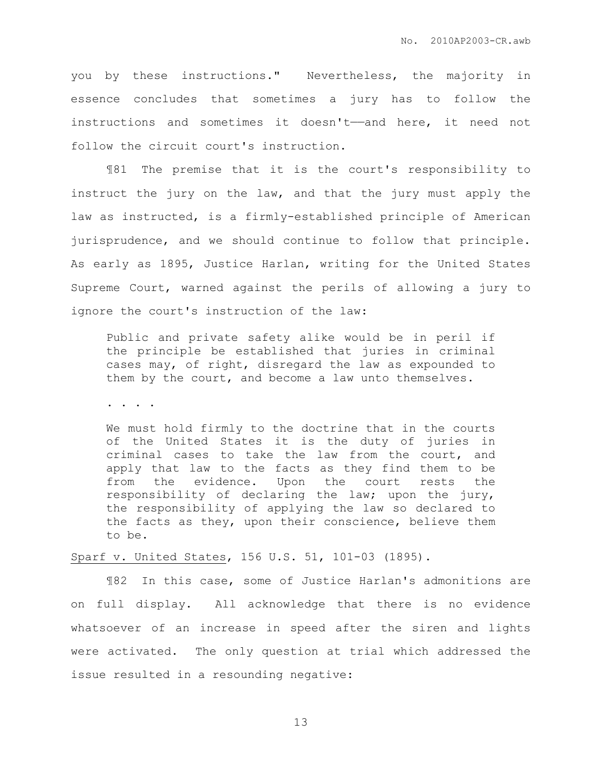you by these instructions." Nevertheless, the majority in essence concludes that sometimes a jury has to follow the instructions and sometimes it doesn't——and here, it need not follow the circuit court's instruction.

¶81 The premise that it is the court's responsibility to instruct the jury on the law, and that the jury must apply the law as instructed, is a firmly-established principle of American jurisprudence, and we should continue to follow that principle. As early as 1895, Justice Harlan, writing for the United States Supreme Court, warned against the perils of allowing a jury to ignore the court's instruction of the law:

Public and private safety alike would be in peril if the principle be established that juries in criminal cases may, of right, disregard the law as expounded to them by the court, and become a law unto themselves.

. . . .

We must hold firmly to the doctrine that in the courts of the United States it is the duty of juries in criminal cases to take the law from the court, and apply that law to the facts as they find them to be from the evidence. Upon the court rests the responsibility of declaring the law; upon the jury, the responsibility of applying the law so declared to the facts as they, upon their conscience, believe them to be.

Sparf v. United States, 156 U.S. 51, 101-03 (1895).

 ¶82 In this case, some of Justice Harlan's admonitions are on full display. All acknowledge that there is no evidence whatsoever of an increase in speed after the siren and lights were activated. The only question at trial which addressed the issue resulted in a resounding negative: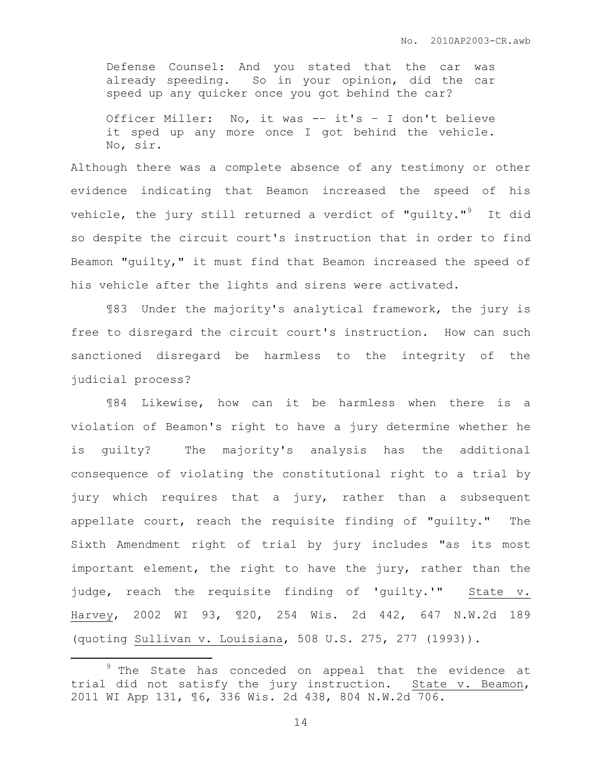Defense Counsel: And you stated that the car was already speeding. So in your opinion, did the car speed up any quicker once you got behind the car?

Officer Miller: No, it was -– it's – I don't believe it sped up any more once I got behind the vehicle. No, sir.

Although there was a complete absence of any testimony or other evidence indicating that Beamon increased the speed of his vehicle, the jury still returned a verdict of "quilty."<sup>9</sup> It did so despite the circuit court's instruction that in order to find Beamon "guilty," it must find that Beamon increased the speed of his vehicle after the lights and sirens were activated.

¶83 Under the majority's analytical framework, the jury is free to disregard the circuit court's instruction. How can such sanctioned disregard be harmless to the integrity of the judicial process?

¶84 Likewise, how can it be harmless when there is a violation of Beamon's right to have a jury determine whether he is guilty? The majority's analysis has the additional consequence of violating the constitutional right to a trial by jury which requires that a jury, rather than a subsequent appellate court, reach the requisite finding of "guilty." The Sixth Amendment right of trial by jury includes "as its most important element, the right to have the jury, rather than the judge, reach the requisite finding of 'guilty.'" State v. Harvey, 2002 WI 93, ¶20, 254 Wis. 2d 442, 647 N.W.2d 189 (quoting Sullivan v. Louisiana, 508 U.S. 275, 277 (1993)).

 $\overline{a}$ 

<sup>&</sup>lt;sup>9</sup> The State has conceded on appeal that the evidence at trial did not satisfy the jury instruction. State v. Beamon, 2011 WI App 131, ¶6, 336 Wis. 2d 438, 804 N.W.2d 706.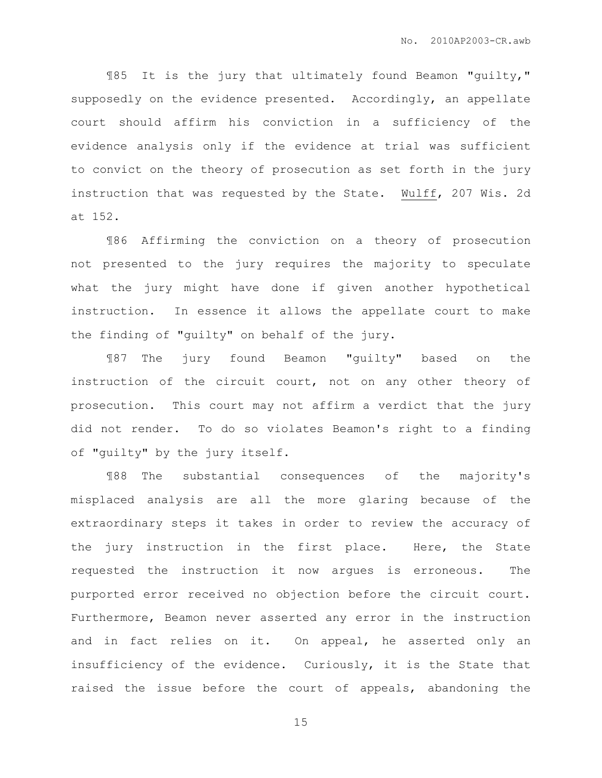¶85 It is the jury that ultimately found Beamon "guilty," supposedly on the evidence presented. Accordingly, an appellate court should affirm his conviction in a sufficiency of the evidence analysis only if the evidence at trial was sufficient to convict on the theory of prosecution as set forth in the jury instruction that was requested by the State. Wulff, 207 Wis. 2d at 152.

¶86 Affirming the conviction on a theory of prosecution not presented to the jury requires the majority to speculate what the jury might have done if given another hypothetical instruction. In essence it allows the appellate court to make the finding of "guilty" on behalf of the jury.

¶87 The jury found Beamon "guilty" based on the instruction of the circuit court, not on any other theory of prosecution. This court may not affirm a verdict that the jury did not render. To do so violates Beamon's right to a finding of "guilty" by the jury itself.

¶88 The substantial consequences of the majority's misplaced analysis are all the more glaring because of the extraordinary steps it takes in order to review the accuracy of the jury instruction in the first place. Here, the State requested the instruction it now argues is erroneous. The purported error received no objection before the circuit court. Furthermore, Beamon never asserted any error in the instruction and in fact relies on it. On appeal, he asserted only an insufficiency of the evidence. Curiously, it is the State that raised the issue before the court of appeals, abandoning the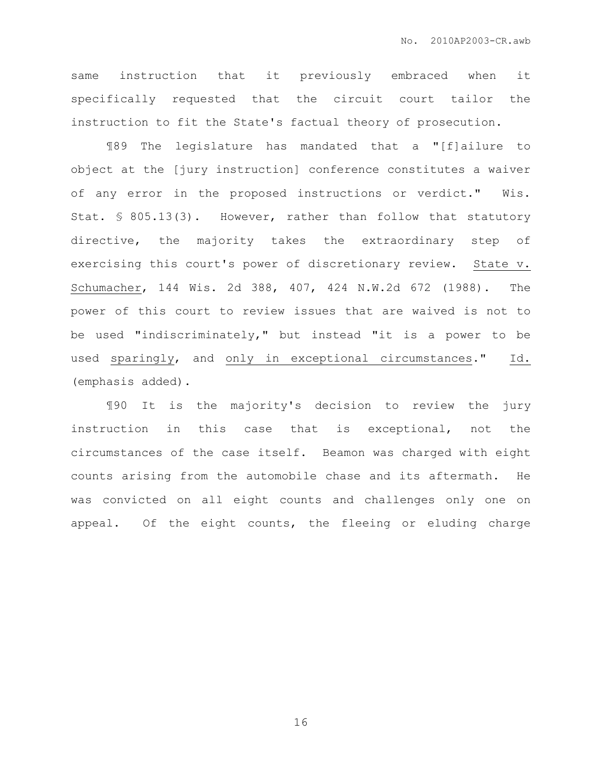same instruction that it previously embraced when it specifically requested that the circuit court tailor the instruction to fit the State's factual theory of prosecution.

¶89 The legislature has mandated that a "[f]ailure to object at the [jury instruction] conference constitutes a waiver of any error in the proposed instructions or verdict." Wis. Stat. § 805.13(3). However, rather than follow that statutory directive, the majority takes the extraordinary step of exercising this court's power of discretionary review. State v. Schumacher, 144 Wis. 2d 388, 407, 424 N.W.2d 672 (1988). The power of this court to review issues that are waived is not to be used "indiscriminately," but instead "it is a power to be used sparingly, and only in exceptional circumstances." Id. (emphasis added).

¶90 It is the majority's decision to review the jury instruction in this case that is exceptional, not the circumstances of the case itself. Beamon was charged with eight counts arising from the automobile chase and its aftermath. He was convicted on all eight counts and challenges only one on appeal. Of the eight counts, the fleeing or eluding charge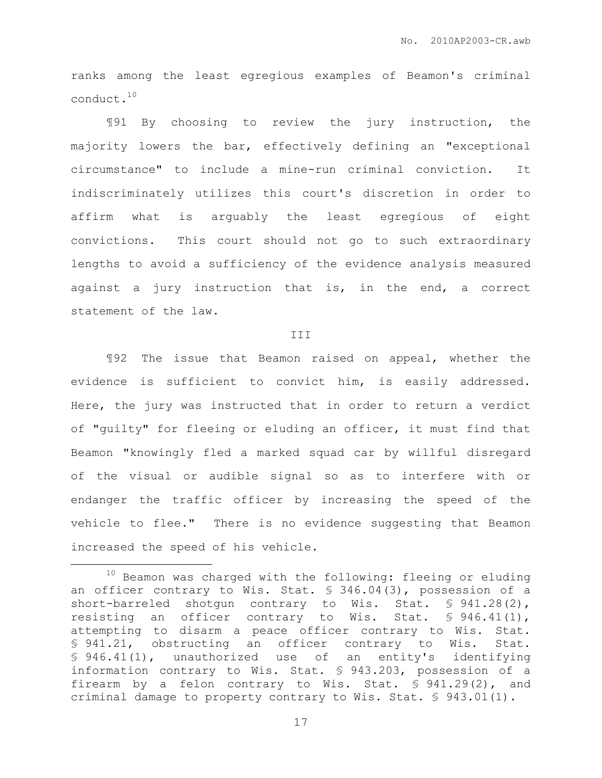ranks among the least egregious examples of Beamon's criminal conduct.<sup>10</sup>

¶91 By choosing to review the jury instruction, the majority lowers the bar, effectively defining an "exceptional circumstance" to include a mine-run criminal conviction. It indiscriminately utilizes this court's discretion in order to affirm what is arguably the least egregious of eight convictions. This court should not go to such extraordinary lengths to avoid a sufficiency of the evidence analysis measured against a jury instruction that is, in the end, a correct statement of the law.

#### III

¶92 The issue that Beamon raised on appeal, whether the evidence is sufficient to convict him, is easily addressed. Here, the jury was instructed that in order to return a verdict of "guilty" for fleeing or eluding an officer, it must find that Beamon "knowingly fled a marked squad car by willful disregard of the visual or audible signal so as to interfere with or endanger the traffic officer by increasing the speed of the vehicle to flee." There is no evidence suggesting that Beamon increased the speed of his vehicle.

 $\overline{a}$ 

 $10$  Beamon was charged with the following: fleeing or eluding an officer contrary to Wis. Stat. § 346.04(3), possession of a short-barreled shotgun contrary to Wis. Stat. § 941.28(2), resisting an officer contrary to Wis. Stat. § 946.41(1), attempting to disarm a peace officer contrary to Wis. Stat. § 941.21, obstructing an officer contrary to Wis. Stat. § 946.41(1), unauthorized use of an entity's identifying information contrary to Wis. Stat. § 943.203, possession of a firearm by a felon contrary to Wis. Stat. § 941.29(2), and criminal damage to property contrary to Wis. Stat. § 943.01(1).